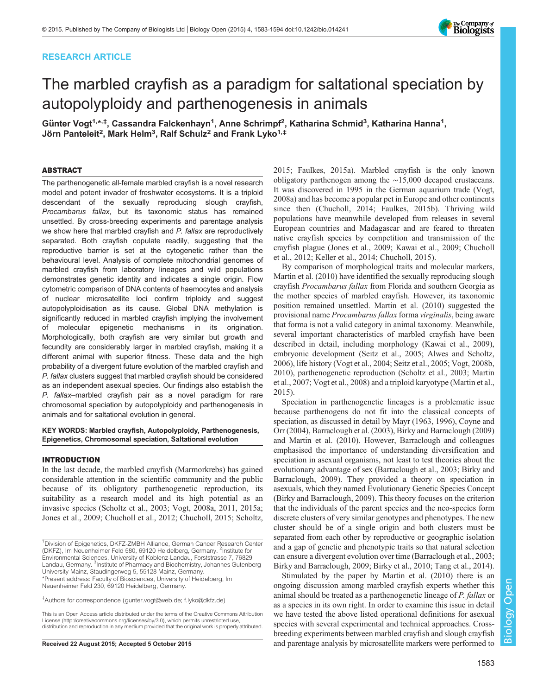# RESEARCH ARTICLE



# The marbled crayfish as a paradigm for saltational speciation by autopolyploidy and parthenogenesis in animals

Günter Vogt<sup>1,\*,‡</sup>, Cassandra Falckenhayn<sup>1</sup>, Anne Schrimpf<sup>2</sup>, Katharina Schmid<sup>3</sup>, Katharina Hanna<sup>1</sup>, Jörn Panteleit<sup>2</sup>, Mark Helm<sup>3</sup>, Ralf Schulz<sup>2</sup> and Frank Lyko<sup>1,‡</sup>

## ABSTRACT

The parthenogenetic all-female marbled crayfish is a novel research model and potent invader of freshwater ecosystems. It is a triploid descendant of the sexually reproducing slough crayfish, Procambarus fallax, but its taxonomic status has remained unsettled. By cross-breeding experiments and parentage analysis we show here that marbled crayfish and P. fallax are reproductively separated. Both crayfish copulate readily, suggesting that the reproductive barrier is set at the cytogenetic rather than the behavioural level. Analysis of complete mitochondrial genomes of marbled crayfish from laboratory lineages and wild populations demonstrates genetic identity and indicates a single origin. Flow cytometric comparison of DNA contents of haemocytes and analysis of nuclear microsatellite loci confirm triploidy and suggest autopolyploidisation as its cause. Global DNA methylation is significantly reduced in marbled crayfish implying the involvement of molecular epigenetic mechanisms in its origination. Morphologically, both crayfish are very similar but growth and fecundity are considerably larger in marbled crayfish, making it a different animal with superior fitness. These data and the high probability of a divergent future evolution of the marbled crayfish and P. fallax clusters suggest that marbled crayfish should be considered as an independent asexual species. Our findings also establish the P. fallax–marbled crayfish pair as a novel paradigm for rare chromosomal speciation by autopolyploidy and parthenogenesis in animals and for saltational evolution in general.

## KEY WORDS: Marbled crayfish, Autopolyploidy, Parthenogenesis, Epigenetics, Chromosomal speciation, Saltational evolution

#### INTRODUCTION

In the last decade, the marbled crayfish (Marmorkrebs) has gained considerable attention in the scientific community and the public because of its obligatory parthenogenetic reproduction, its suitability as a research model and its high potential as an invasive species ([Scholtz et al., 2003;](#page-10-0) [Vogt, 2008a](#page-11-0), [2011, 2015a](#page-11-0); [Jones et al., 2009](#page-10-0); [Chucholl et al., 2012; Chucholl, 2015](#page-9-0); [Scholtz,](#page-10-0)

[2015;](#page-10-0) [Faulkes, 2015a](#page-9-0)). Marbled crayfish is the only known obligatory parthenogen among the ∼15,000 decapod crustaceans. It was discovered in 1995 in the German aquarium trade ([Vogt,](#page-11-0) [2008a](#page-11-0)) and has become a popular pet in Europe and other continents since then [\(Chucholl, 2014; Faulkes, 2015b](#page-9-0)). Thriving wild populations have meanwhile developed from releases in several European countries and Madagascar and are feared to threaten native crayfish species by competition and transmission of the crayfish plague ([Jones et al., 2009; Kawai et al., 2009](#page-10-0); [Chucholl](#page-9-0) [et al., 2012;](#page-9-0) [Keller et al., 2014](#page-10-0); [Chucholl, 2015](#page-9-0)).

By comparison of morphological traits and molecular markers, [Martin et al. \(2010\)](#page-10-0) have identified the sexually reproducing slough crayfish Procambarus fallax from Florida and southern Georgia as the mother species of marbled crayfish. However, its taxonomic position remained unsettled. [Martin et al. \(2010\)](#page-10-0) suggested the provisional name Procambarus fallax forma virginalis, being aware that forma is not a valid category in animal taxonomy. Meanwhile, several important characteristics of marbled crayfish have been described in detail, including morphology ([Kawai et al., 2009\)](#page-10-0), embryonic development [\(Seitz et al., 2005;](#page-10-0) [Alwes and Scholtz,](#page-9-0) [2006\)](#page-9-0), life history [\(Vogt et al., 2004;](#page-11-0) [Seitz et al., 2005;](#page-10-0) [Vogt, 2008b,](#page-11-0) [2010\)](#page-11-0), parthenogenetic reproduction [\(Scholtz et al., 2003; Martin](#page-10-0) [et al., 2007;](#page-10-0) [Vogt et al., 2008\)](#page-11-0) and a triploid karyotype ([Martin et al.,](#page-10-0) [2015\)](#page-10-0).

Speciation in parthenogenetic lineages is a problematic issue because parthenogens do not fit into the classical concepts of speciation, as discussed in detail by [Mayr \(1963](#page-10-0), [1996\),](#page-10-0) [Coyne and](#page-9-0) [Orr \(2004\), Barraclough et al. \(2003\)](#page-9-0), [Birky and Barraclough \(2009\)](#page-9-0) and [Martin et al. \(2010\).](#page-10-0) However, Barraclough and colleagues emphasised the importance of understanding diversification and speciation in asexual organisms, not least to test theories about the evolutionary advantage of sex ([Barraclough et al., 2003; Birky and](#page-9-0) [Barraclough, 2009](#page-9-0)). They provided a theory on speciation in asexuals, which they named Evolutionary Genetic Species Concept [\(Birky and Barraclough, 2009](#page-9-0)). This theory focuses on the criterion that the individuals of the parent species and the neo-species form discrete clusters of very similar genotypes and phenotypes. The new cluster should be of a single origin and both clusters must be separated from each other by reproductive or geographic isolation and a gap of genetic and phenotypic traits so that natural selection can ensure a divergent evolution over time ([Barraclough et al., 2003](#page-9-0); [Birky and Barraclough, 2009](#page-9-0); [Birky et al., 2010;](#page-9-0) [Tang et al., 2014\)](#page-11-0).

Stimulated by the paper by [Martin et al. \(2010\)](#page-10-0) there is an ongoing discussion among marbled crayfish experts whether this animal should be treated as a parthenogenetic lineage of P. fallax or as a species in its own right. In order to examine this issue in detail we have tested the above listed operational definitions for asexual species with several experimental and technical approaches. Crossbreeding experiments between marbled crayfish and slough crayfish Received 22 August 2015; Accepted 5 October 2015 and parentage analysis by microsatellite markers were performed to

<sup>&</sup>lt;sup>1</sup>Division of Epigenetics, DKFZ-ZMBH Alliance, German Cancer Research Center (DKFZ), Im Neuenheimer Feld 580, 69120 Heidelberg, Germany. <sup>2</sup>Institute for Environmental Sciences, University of Koblenz-Landau, Forststrasse 7, 76829 Landau, Germany. <sup>3</sup>Institute of Pharmacy and Biochemistry, Johannes Gutenberg-University Mainz, Staudingerweg 5, 55128 Mainz, Germany. \*Present address: Faculty of Biosciences, University of Heidelberg, Im Neuenheimer Feld 230, 69120 Heidelberg, Germany.

<sup>‡</sup> Authors for correspondence [\(gunter.vogt@web.de](mailto:gunter.vogt@web.de); [f.lyko@dkfz.de\)](mailto:f.lyko@dkfz.de)

This is an Open Access article distributed under the terms of the Creative Commons Attribution License [\(http://creativecommons.org/licenses/by/3.0\)](http://creativecommons.org/licenses/by/3.0), which permits unrestricted use, distribution and reproduction in any medium provided that the original work is properly attributed.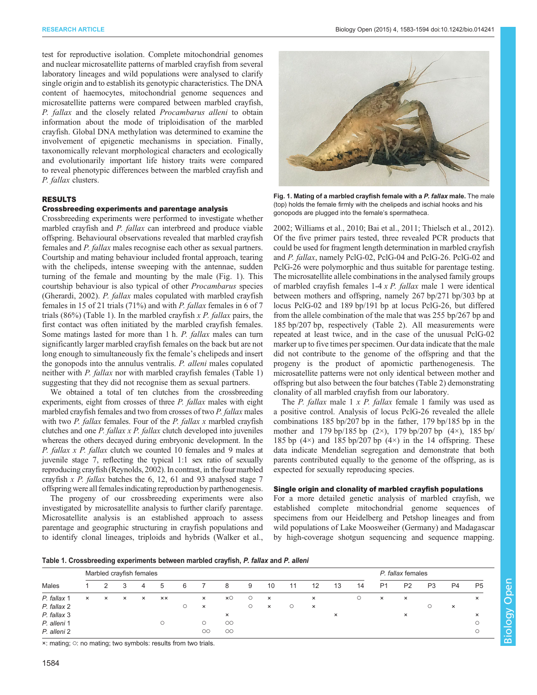test for reproductive isolation. Complete mitochondrial genomes and nuclear microsatellite patterns of marbled crayfish from several laboratory lineages and wild populations were analysed to clarify single origin and to establish its genotypic characteristics. The DNA content of haemocytes, mitochondrial genome sequences and microsatellite patterns were compared between marbled crayfish, P. fallax and the closely related Procambarus alleni to obtain information about the mode of triploidisation of the marbled crayfish. Global DNA methylation was determined to examine the involvement of epigenetic mechanisms in speciation. Finally, taxonomically relevant morphological characters and ecologically and evolutionarily important life history traits were compared to reveal phenotypic differences between the marbled crayfish and P. fallax clusters.

# RESULTS

# Crossbreeding experiments and parentage analysis

Crossbreeding experiments were performed to investigate whether marbled crayfish and *P. fallax* can interbreed and produce viable offspring. Behavioural observations revealed that marbled crayfish females and P. fallax males recognise each other as sexual partners. Courtship and mating behaviour included frontal approach, tearing with the chelipeds, intense sweeping with the antennae, sudden turning of the female and mounting by the male (Fig. 1). This courtship behaviour is also typical of other Procambarus species [\(Gherardi, 2002\)](#page-10-0). P. fallax males copulated with marbled crayfish females in 15 of 21 trials (71%) and with P. fallax females in 6 of 7 trials (86%) (Table 1). In the marbled crayfish  $x P$ . fallax pairs, the first contact was often initiated by the marbled crayfish females. Some matings lasted for more than 1 h. P. fallax males can turn significantly larger marbled crayfish females on the back but are not long enough to simultaneously fix the female's chelipeds and insert the gonopods into the annulus ventralis. P. alleni males copulated neither with P. fallax nor with marbled crayfish females (Table 1) suggesting that they did not recognise them as sexual partners.

We obtained a total of ten clutches from the crossbreeding experiments, eight from crosses of three P. fallax males with eight marbled crayfish females and two from crosses of two *P. fallax* males with two  $P$ . fallax females. Four of the  $P$ . fallax x marbled crayfish clutches and one P. fallax x P. fallax clutch developed into juveniles whereas the others decayed during embryonic development. In the P. fallax x P. fallax clutch we counted 10 females and 9 males at juvenile stage 7, reflecting the typical 1:1 sex ratio of sexually reproducing crayfish ([Reynolds, 2002\)](#page-10-0). In contrast, in the four marbled crayfish  $x$  P. fallax batches the 6, 12, 61 and 93 analysed stage 7 offspring were all females indicating reproduction by parthenogenesis.

The progeny of our crossbreeding experiments were also investigated by microsatellite analysis to further clarify parentage. Microsatellite analysis is an established approach to assess parentage and geographic structuring in crayfish populations and to identify clonal lineages, triploids and hybrids ([Walker et al.,](#page-11-0)



Fig. 1. Mating of a marbled crayfish female with a P. fallax male. The male (top) holds the female firmly with the chelipeds and ischial hooks and his gonopods are plugged into the female's spermatheca.

[2002; Williams et al., 2010](#page-11-0); [Bai et al., 2011;](#page-9-0) [Thielsch et al., 2012\)](#page-11-0). Of the five primer pairs tested, three revealed PCR products that could be used for fragment length determination in marbled crayfish and P. fallax, namely PclG-02, PclG-04 and PclG-26. PclG-02 and PclG-26 were polymorphic and thus suitable for parentage testing. The microsatellite allele combinations in the analysed family groups of marbled crayfish females  $1-4 \times P$ . *fallax* male 1 were identical between mothers and offspring, namely 267 bp/271 bp/303 bp at locus PclG-02 and 189 bp/191 bp at locus PclG-26, but differed from the allele combination of the male that was 255 bp/267 bp and 185 bp/207 bp, respectively ([Table 2](#page-2-0)). All measurements were repeated at least twice, and in the case of the unusual PclG-02 marker up to five times per specimen. Our data indicate that the male did not contribute to the genome of the offspring and that the progeny is the product of apomictic parthenogenesis. The microsatellite patterns were not only identical between mother and offspring but also between the four batches ([Table 2\)](#page-2-0) demonstrating clonality of all marbled crayfish from our laboratory.

The *P. fallax* male  $1 \times P$ . *fallax* female 1 family was used as a positive control. Analysis of locus PclG-26 revealed the allele combinations 185 bp/207 bp in the father, 179 bp/185 bp in the mother and 179 bp/185 bp  $(2\times)$ , 179 bp/207 bp  $(4\times)$ , 185 bp/ 185 bp  $(4\times)$  and 185 bp/207 bp  $(4\times)$  in the 14 offspring. These data indicate Mendelian segregation and demonstrate that both parents contributed equally to the genome of the offspring, as is expected for sexually reproducing species.

# Single origin and clonality of marbled crayfish populations

For a more detailed genetic analysis of marbled crayfish, we established complete mitochondrial genome sequences of specimens from our Heidelberg and Petshop lineages and from wild populations of Lake Moosweiher (Germany) and Madagascar by high-coverage shotgun sequencing and sequence mapping.

Biology Open

| Table 1. Crossbreeding experiments between marbled crayfish, P. fallax and P. alleni |  |  |  |
|--------------------------------------------------------------------------------------|--|--|--|
|                                                                                      |  |  |  |

|             | Marbled crayfish females |          |          |          |                |   |          |                     |         |          |    |          |          | P. fallax females |                |                |                |          |                |
|-------------|--------------------------|----------|----------|----------|----------------|---|----------|---------------------|---------|----------|----|----------|----------|-------------------|----------------|----------------|----------------|----------|----------------|
| Males       |                          |          |          | 4        | $\mathbf b$    | 6 |          | 8                   | 9       | 10       | 11 | 12       | 13       | 14                | P <sub>1</sub> | P <sub>2</sub> | P <sub>3</sub> | P4       | P <sub>5</sub> |
| P. fallax 1 | $\times$                 | $\times$ | $\times$ | $\times$ | $\times\times$ |   | $\times$ | $x \circ$           | $\circ$ | $\times$ |    | $\times$ |          | $\circ$           | $\times$       | $\times$       |                |          | $\times$       |
| P. fallax 2 |                          |          |          |          |                |   | $\times$ |                     | $\circ$ | $\times$ | O  | $\times$ |          |                   |                |                | O              | $\times$ |                |
| P. fallax 3 |                          |          |          |          |                |   |          | $\times$            |         |          |    |          | $\times$ |                   |                | $\times$       |                |          | $\times$       |
| P. alleni 1 |                          |          |          |          | Ο              |   | $\circ$  | $\circlearrowright$ |         |          |    |          |          |                   |                |                |                |          | $\circ$        |
| P. alleni 2 |                          |          |          |          |                |   | $\circ$  | $\circlearrowright$ |         |          |    |          |          |                   |                |                |                |          | $\circ$        |

×: mating; ○: no mating; two symbols: results from two trials.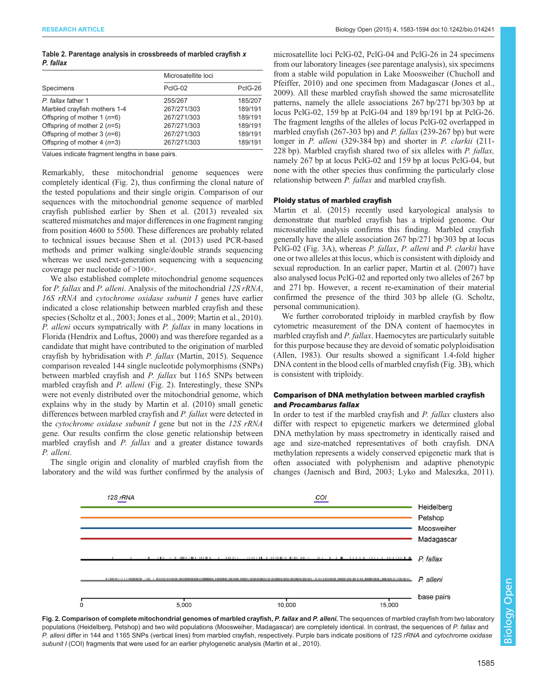# <span id="page-2-0"></span>Table 2. Parentage analysis in crossbreeds of marbled crayfish x P. fallax

|                               | Microsatellite loci |         |  |  |  |
|-------------------------------|---------------------|---------|--|--|--|
| Specimens                     | PcIG-02             | PcIG-26 |  |  |  |
| P. fallax father 1            | 255/267             | 185/207 |  |  |  |
| Marbled crayfish mothers 1-4  | 267/271/303         | 189/191 |  |  |  |
| Offspring of mother 1 $(n=6)$ | 267/271/303         | 189/191 |  |  |  |
| Offspring of mother $2(n=5)$  | 267/271/303         | 189/191 |  |  |  |
| Offspring of mother $3(n=6)$  | 267/271/303         | 189/191 |  |  |  |
| Offspring of mother 4 $(n=3)$ | 267/271/303         | 189/191 |  |  |  |

Values indicate fragment lengths in base pairs.

Remarkably, these mitochondrial genome sequences were completely identical (Fig. 2), thus confirming the clonal nature of the tested populations and their single origin. Comparison of our sequences with the mitochondrial genome sequence of marbled crayfish published earlier by [Shen et al. \(2013\)](#page-11-0) revealed six scattered mismatches and major differences in one fragment ranging from position 4600 to 5500. These differences are probably related to technical issues because [Shen et al. \(2013\)](#page-11-0) used PCR-based methods and primer walking single/double strands sequencing whereas we used next-generation sequencing with a sequencing coverage per nucleotide of >100×.

We also established complete mitochondrial genome sequences for *P. fallax* and *P. alleni*. Analysis of the mitochondrial 12S rRNA, 16S rRNA and cytochrome oxidase subunit I genes have earlier indicated a close relationship between marbled crayfish and these species [\(Scholtz et al., 2003; Jones et al., 2009; Martin et al., 2010\)](#page-10-0). P. alleni occurs sympatrically with P. fallax in many locations in Florida [\(Hendrix and Loftus, 2000\)](#page-10-0) and was therefore regarded as a candidate that might have contributed to the origination of marbled crayfish by hybridisation with P. fallax ([Martin, 2015](#page-10-0)). Sequence comparison revealed 144 single nucleotide polymorphisms (SNPs) between marbled crayfish and P. fallax but 1165 SNPs between marbled crayfish and P. alleni (Fig. 2). Interestingly, these SNPs were not evenly distributed over the mitochondrial genome, which explains why in the study by [Martin et al. \(2010\)](#page-10-0) small genetic differences between marbled crayfish and P. fallax were detected in the cytochrome oxidase subunit  $I$  gene but not in the  $12S$  rRNA gene. Our results confirm the close genetic relationship between marbled crayfish and P. fallax and a greater distance towards P. alleni.

The single origin and clonality of marbled crayfish from the laboratory and the wild was further confirmed by the analysis of microsatellite loci PclG-02, PclG-04 and PclG-26 in 24 specimens from our laboratory lineages (see parentage analysis), six specimens from a stable wild population in Lake Moosweiher ([Chucholl and](#page-9-0) [Pfeiffer, 2010](#page-9-0)) and one specimen from Madagascar [\(Jones et al.,](#page-10-0) [2009\)](#page-10-0). All these marbled crayfish showed the same microsatellite patterns, namely the allele associations 267 bp/271 bp/303 bp at locus PclG-02, 159 bp at PclG-04 and 189 bp/191 bp at PclG-26. The fragment lengths of the alleles of locus PclG-02 overlapped in marbled crayfish (267-303 bp) and P. fallax (239-267 bp) but were longer in P. alleni (329-384 bp) and shorter in P. clarkii (211-228 bp). Marbled crayfish shared two of six alleles with P. fallax, namely 267 bp at locus PclG-02 and 159 bp at locus PclG-04, but none with the other species thus confirming the particularly close relationship between P. fallax and marbled crayfish.

#### Ploidy status of marbled crayfish

[Martin et al. \(2015\)](#page-10-0) recently used karyological analysis to demonstrate that marbled crayfish has a triploid genome. Our microsatellite analysis confirms this finding. Marbled crayfish generally have the allele association 267 bp/271 bp/303 bp at locus PclG-02 [\(Fig. 3A](#page-3-0)), whereas P. fallax, P. alleni and P. clarkii have one or two alleles at this locus, which is consistent with diploidy and sexual reproduction. In an earlier paper, [Martin et al. \(2007\)](#page-10-0) have also analysed locus PclG-02 and reported only two alleles of 267 bp and 271 bp. However, a recent re-examination of their material confirmed the presence of the third 303 bp allele (G. Scholtz, personal communication).

We further corroborated triploidy in marbled crayfish by flow cytometric measurement of the DNA content of haemocytes in marbled crayfish and *P. fallax*. Haemocytes are particularly suitable for this purpose because they are devoid of somatic polyploidisation [\(Allen, 1983\)](#page-9-0). Our results showed a significant 1.4-fold higher DNA content in the blood cells of marbled crayfish ([Fig. 3](#page-3-0)B), which is consistent with triploidy.

# Comparison of DNA methylation between marbled crayfish and Procambarus fallax

In order to test if the marbled crayfish and P. fallax clusters also differ with respect to epigenetic markers we determined global DNA methylation by mass spectrometry in identically raised and age and size-matched representatives of both crayfish. DNA methylation represents a widely conserved epigenetic mark that is often associated with polyphenism and adaptive phenotypic changes ([Jaenisch and Bird, 2003](#page-10-0); [Lyko and Maleszka, 2011\)](#page-10-0).





Biology Open

Biology

Open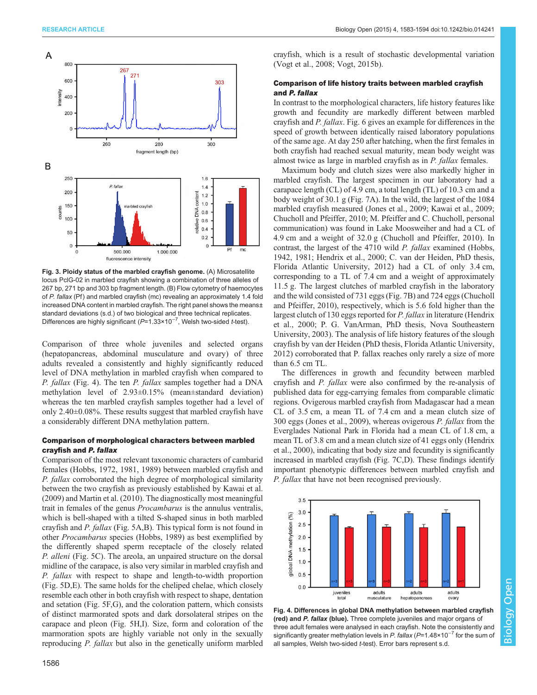<span id="page-3-0"></span>

Fig. 3. Ploidy status of the marbled crayfish genome. (A) Microsatellite locus PclG-02 in marbled crayfish showing a combination of three alleles of 267 bp, 271 bp and 303 bp fragment length. (B) Flow cytometry of haemocytes of P. fallax (Pf) and marbled crayfish (mc) revealing an approximately 1.4 fold increased DNA content in marbled crayfish. The right panel shows the means± standard deviations (s.d.) of two biological and three technical replicates. Differences are highly significant (P=1.33×10<sup>-7</sup>, Welsh two-sided t-test).

Comparison of three whole juveniles and selected organs (hepatopancreas, abdominal musculature and ovary) of three adults revealed a consistently and highly significantly reduced level of DNA methylation in marbled crayfish when compared to P. fallax (Fig. 4). The ten P. fallax samples together had a DNA methylation level of 2.93±0.15% (mean±standard deviation) whereas the ten marbled crayfish samples together had a level of only 2.40±0.08%. These results suggest that marbled crayfish have a considerably different DNA methylation pattern.

# Comparison of morphological characters between marbled crayfish and P. fallax

Comparison of the most relevant taxonomic characters of cambarid females ([Hobbs, 1972, 1981](#page-10-0), [1989](#page-10-0)) between marbled crayfish and P. fallax corroborated the high degree of morphological similarity between the two crayfish as previously established by [Kawai et al.](#page-10-0) [\(2009\)](#page-10-0) and [Martin et al. \(2010\)](#page-10-0). The diagnostically most meaningful trait in females of the genus Procambarus is the annulus ventralis, which is bell-shaped with a tilted S-shaped sinus in both marbled crayfish and P. fallax ([Fig. 5A](#page-4-0),B). This typical form is not found in other Procambarus species [\(Hobbs, 1989](#page-10-0)) as best exemplified by the differently shaped sperm receptacle of the closely related P. alleni [\(Fig. 5C](#page-4-0)). The areola, an unpaired structure on the dorsal midline of the carapace, is also very similar in marbled crayfish and P. fallax with respect to shape and length-to-width proportion [\(Fig. 5](#page-4-0)D,E). The same holds for the cheliped chelae, which closely resemble each other in both crayfish with respect to shape, dentation and setation ([Fig. 5](#page-4-0)F,G), and the coloration pattern, which consists of distinct marmorated spots and dark dorsolateral stripes on the carapace and pleon [\(Fig. 5H](#page-4-0),I). Size, form and coloration of the marmoration spots are highly variable not only in the sexually reproducing P. fallax but also in the genetically uniform marbled

crayfish, which is a result of stochastic developmental variation [\(Vogt et al., 2008; Vogt, 2015b\)](#page-11-0).

# Comparison of life history traits between marbled crayfish and P. fallax

In contrast to the morphological characters, life history features like growth and fecundity are markedly different between marbled crayfish and P. fallax. [Fig. 6](#page-5-0) gives an example for differences in the speed of growth between identically raised laboratory populations of the same age. At day 250 after hatching, when the first females in both crayfish had reached sexual maturity, mean body weight was almost twice as large in marbled crayfish as in P. fallax females.

Maximum body and clutch sizes were also markedly higher in marbled crayfish. The largest specimen in our laboratory had a carapace length (CL) of 4.9 cm, a total length (TL) of 10.3 cm and a body weight of 30.1 g ([Fig. 7A](#page-6-0)). In the wild, the largest of the 1084 marbled crayfish measured ([Jones et al., 2009](#page-10-0); [Kawai et al., 2009](#page-10-0); [Chucholl and Pfeiffer, 2010](#page-9-0); M. Pfeiffer and C. Chucholl, personal communication) was found in Lake Moosweiher and had a CL of 4.9 cm and a weight of 32.0 g ([Chucholl and Pfeiffer, 2010\)](#page-9-0). In contrast, the largest of the 4710 wild P. fallax examined ([Hobbs,](#page-10-0) [1942, 1981](#page-10-0); [Hendrix et al., 2000](#page-10-0); C. van der Heiden, PhD thesis, Florida Atlantic University, 2012) had a CL of only 3.4 cm, corresponding to a TL of 7.4 cm and a weight of approximately 11.5 g. The largest clutches of marbled crayfish in the laboratory and the wild consisted of 731 eggs [\(Fig. 7B](#page-6-0)) and 724 eggs [\(Chucholl](#page-9-0) [and Pfeiffer, 2010](#page-9-0)), respectively, which is 5.6 fold higher than the largest clutch of 130 eggs reported for P. fallax in literature [\(Hendrix](#page-10-0) [et al., 2000;](#page-10-0) P. G. VanArman, PhD thesis, Nova Southeastern University, 2003). The analysis of life history features of the slough crayfish by [van der Heiden \(PhD thesis, Florida Atlantic University,](#page-11-0) [2012\)](#page-11-0) corroborated that P. fallax reaches only rarely a size of more than 6.5 cm TL.

The differences in growth and fecundity between marbled crayfish and P. fallax were also confirmed by the re-analysis of published data for egg-carrying females from comparable climatic regions. Ovigerous marbled crayfish from Madagascar had a mean CL of 3.5 cm, a mean TL of 7.4 cm and a mean clutch size of 300 eggs ([Jones et al., 2009](#page-10-0)), whereas ovigerous P. fallax from the Everglades National Park in Florida had a mean CL of 1.8 cm, a mean TL of 3.8 cm and a mean clutch size of 41 eggs only [\(Hendrix](#page-10-0) [et al., 2000\)](#page-10-0), indicating that body size and fecundity is significantly increased in marbled crayfish [\(Fig. 7C](#page-6-0),D). These findings identify important phenotypic differences between marbled crayfish and P. fallax that have not been recognised previously.



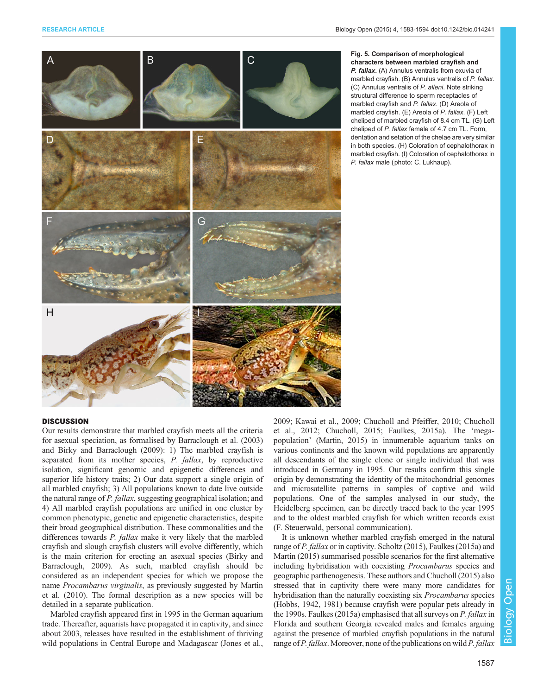<span id="page-4-0"></span>

## Fig. 5. Comparison of morphological characters between marbled crayfish and P. fallax. (A) Annulus ventralis from exuvia of marbled crayfish. (B) Annulus ventralis of P. fallax. (C) Annulus ventralis of P. alleni. Note striking structural difference to sperm receptacles of marbled crayfish and P. fallax. (D) Areola of marbled crayfish. (E) Areola of P. fallax. (F) Left cheliped of marbled crayfish of 8.4 cm TL. (G) Left cheliped of P. fallax female of 4.7 cm TL. Form, dentation and setation of the chelae are very similar in both species. (H) Coloration of cephalothorax in marbled crayfish. (I) Coloration of cephalothorax in P. fallax male (photo: C. Lukhaup).

# **DISCUSSION**

Our results demonstrate that marbled crayfish meets all the criteria for asexual speciation, as formalised by [Barraclough et al. \(2003\)](#page-9-0) and [Birky and Barraclough \(2009\):](#page-9-0) 1) The marbled crayfish is separated from its mother species, P. fallax, by reproductive isolation, significant genomic and epigenetic differences and superior life history traits; 2) Our data support a single origin of all marbled crayfish; 3) All populations known to date live outside the natural range of P. fallax, suggesting geographical isolation; and 4) All marbled crayfish populations are unified in one cluster by common phenotypic, genetic and epigenetic characteristics, despite their broad geographical distribution. These commonalities and the differences towards P. fallax make it very likely that the marbled crayfish and slough crayfish clusters will evolve differently, which is the main criterion for erecting an asexual species ([Birky and](#page-9-0) [Barraclough, 2009](#page-9-0)). As such, marbled crayfish should be considered as an independent species for which we propose the name Procambarus virginalis, as previously suggested by [Martin](#page-10-0) [et al. \(2010\).](#page-10-0) The formal description as a new species will be detailed in a separate publication.

Marbled crayfish appeared first in 1995 in the German aquarium trade. Thereafter, aquarists have propagated it in captivity, and since about 2003, releases have resulted in the establishment of thriving wild populations in Central Europe and Madagascar [\(Jones et al.,](#page-10-0)

[2009; Kawai et al., 2009;](#page-10-0) [Chucholl and Pfeiffer, 2010](#page-9-0); [Chucholl](#page-9-0) [et al., 2012](#page-9-0); [Chucholl, 2015](#page-9-0); [Faulkes, 2015a](#page-9-0)). The 'megapopulation' ([Martin, 2015\)](#page-10-0) in innumerable aquarium tanks on various continents and the known wild populations are apparently all descendants of the single clone or single individual that was introduced in Germany in 1995. Our results confirm this single origin by demonstrating the identity of the mitochondrial genomes and microsatellite patterns in samples of captive and wild populations. One of the samples analysed in our study, the Heidelberg specimen, can be directly traced back to the year 1995 and to the oldest marbled crayfish for which written records exist (F. Steuerwald, personal communication).

It is unknown whether marbled crayfish emerged in the natural range of P. fallax or in captivity. [Scholtz \(2015\)](#page-10-0), [Faulkes \(2015a\)](#page-9-0) and [Martin \(2015\)](#page-10-0) summarised possible scenarios for the first alternative including hybridisation with coexisting Procambarus species and geographic parthenogenesis. These authors and [Chucholl \(2015\)](#page-9-0) also stressed that in captivity there were many more candidates for hybridisation than the naturally coexisting six Procambarus species [\(Hobbs, 1942](#page-10-0), [1981](#page-10-0)) because crayfish were popular pets already in the 1990s. [Faulkes \(2015a\)](#page-9-0) emphasised that all surveys on P. fallax in Florida and southern Georgia revealed males and females arguing against the presence of marbled crayfish populations in the natural range of P. fallax. Moreover, none of the publications on wild P. fallax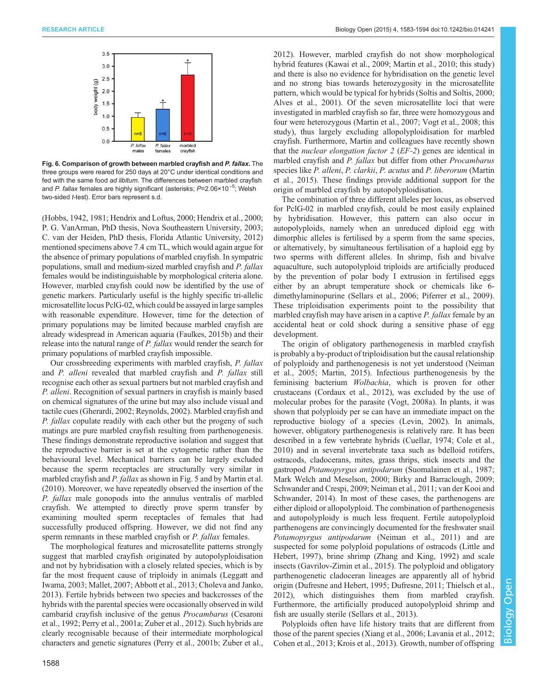<span id="page-5-0"></span>

Fig. 6. Comparison of growth between marbled crayfish and P. fallax. The three groups were reared for 250 days at 20°C under identical conditions and fed with the same food ad libitum. The differences between marbled crayfish and *P. fallax* females are highly significant (asterisks; *P*=2.06×10<sup>−5</sup>; Welsh two-sided t-test). Error bars represent s.d.

[\(Hobbs, 1942](#page-10-0), [1981](#page-10-0); [Hendrix and Loftus, 2000](#page-10-0); [Hendrix et al., 2000](#page-10-0); P. G. VanArman, PhD thesis, Nova Southeastern University, 2003; C. van der Heiden, PhD thesis, Florida Atlantic University, 2012) mentioned specimens above 7.4 cm TL, which would again argue for the absence of primary populations of marbled crayfish. In sympatric populations, small and medium-sized marbled crayfish and P. fallax females would be indistinguishable by morphological criteria alone. However, marbled crayfish could now be identified by the use of genetic markers. Particularly useful is the highly specific tri-allelic microsatellite locus PclG-02, which could be assayed in large samples with reasonable expenditure. However, time for the detection of primary populations may be limited because marbled crayfish are already widespread in American aquaria [\(Faulkes, 2015b](#page-9-0)) and their release into the natural range of P. fallax would render the search for primary populations of marbled crayfish impossible.

Our crossbreeding experiments with marbled crayfish, P. fallax and P. alleni revealed that marbled crayfish and P. fallax still recognise each other as sexual partners but not marbled crayfish and P. alleni. Recognition of sexual partners in crayfish is mainly based on chemical signatures of the urine but may also include visual and tactile cues [\(Gherardi, 2002; Reynolds, 2002\)](#page-10-0). Marbled crayfish and P. fallax copulate readily with each other but the progeny of such matings are pure marbled crayfish resulting from parthenogenesis. These findings demonstrate reproductive isolation and suggest that the reproductive barrier is set at the cytogenetic rather than the behavioural level. Mechanical barriers can be largely excluded because the sperm receptacles are structurally very similar in marbled crayfish and *P. fallax* as shown in [Fig. 5](#page-4-0) and by [Martin et al.](#page-10-0) [\(2010\)](#page-10-0). Moreover, we have repeatedly observed the insertion of the P. fallax male gonopods into the annulus ventralis of marbled crayfish. We attempted to directly prove sperm transfer by examining moulted sperm receptacles of females that had successfully produced offspring. However, we did not find any sperm remnants in these marbled crayfish or *P. fallax* females.

The morphological features and microsatellite patterns strongly suggest that marbled crayfish originated by autopolyploidisation and not by hybridisation with a closely related species, which is by far the most frequent cause of triploidy in animals ([Leggatt and](#page-10-0) [Iwama, 2003; Mallet, 2007;](#page-10-0) [Abbott et al., 2013](#page-9-0); [Choleva and Janko,](#page-9-0) [2013](#page-9-0)). Fertile hybrids between two species and backcrosses of the hybrids with the parental species were occasionally observed in wild cambarid crayfish inclusive of the genus Procambarus ([Cesaroni](#page-9-0) [et al., 1992](#page-9-0); [Perry et al., 2001a;](#page-10-0) [Zuber et al., 2012](#page-11-0)). Such hybrids are clearly recognisable because of their intermediate morphological characters and genetic signatures [\(Perry et al., 2001b;](#page-10-0) [Zuber et al.,](#page-11-0)

[2012\)](#page-11-0). However, marbled crayfish do not show morphological hybrid features [\(Kawai et al., 2009](#page-10-0); [Martin et al., 2010](#page-10-0); this study) and there is also no evidence for hybridisation on the genetic level and no strong bias towards heterozygosity in the microsatellite pattern, which would be typical for hybrids ([Soltis and Soltis, 2000](#page-11-0); [Alves et al., 2001\)](#page-9-0). Of the seven microsatellite loci that were investigated in marbled crayfish so far, three were homozygous and four were heterozygous [\(Martin et al., 2007;](#page-10-0) [Vogt et al., 2008](#page-11-0); this study), thus largely excluding allopolyploidisation for marbled crayfish. Furthermore, Martin and colleagues have recently shown that the nuclear elongation factor 2 (EF-2) genes are identical in marbled crayfish and P. fallax but differ from other Procambarus species like P. alleni, P. clarkii, P. acutus and P. liberorum [\(Martin](#page-10-0) [et al., 2015\)](#page-10-0). These findings provide additional support for the origin of marbled crayfish by autopolyploidisation.

The combination of three different alleles per locus, as observed for PclG-02 in marbled crayfish, could be most easily explained by hybridisation. However, this pattern can also occur in autopolyploids, namely when an unreduced diploid egg with dimorphic alleles is fertilised by a sperm from the same species, or alternatively, by simultaneous fertilisation of a haploid egg by two sperms with different alleles. In shrimp, fish and bivalve aquaculture, such autopolyploid triploids are artificially produced by the prevention of polar body I extrusion in fertilised eggs either by an abrupt temperature shock or chemicals like 6 dimethylaminopurine [\(Sellars et al., 2006; Piferrer et al., 2009\)](#page-10-0). These triploidisation experiments point to the possibility that marbled crayfish may have arisen in a captive P. fallax female by an accidental heat or cold shock during a sensitive phase of egg development.

The origin of obligatory parthenogenesis in marbled crayfish is probably a by-product of triploidisation but the causal relationship of polyploidy and parthenogenesis is not yet understood [\(Neiman](#page-10-0) [et al., 2005](#page-10-0); [Martin, 2015\)](#page-10-0). Infectious parthenogenesis by the feminising bacterium Wolbachia, which is proven for other crustaceans [\(Cordaux et al., 2012](#page-9-0)), was excluded by the use of molecular probes for the parasite [\(Vogt, 2008a](#page-11-0)). In plants, it was shown that polyploidy per se can have an immediate impact on the reproductive biology of a species ([Levin, 2002\)](#page-10-0). In animals, however, obligatory parthenogenesis is relatively rare. It has been described in a few vertebrate hybrids ([Cuellar, 1974](#page-9-0); [Cole et al.,](#page-9-0) [2010\)](#page-9-0) and in several invertebrate taxa such as bdelloid rotifers, ostracods, cladocerans, mites, grass thrips, stick insects and the gastropod Potamopyrgus antipodarum [\(Suomalainen et al., 1987](#page-11-0); [Mark Welch and Meselson, 2000](#page-10-0); [Birky and Barraclough, 2009](#page-9-0); [Schwander and Crespi, 2009; Neiman et al., 2011;](#page-10-0) [van der Kooi and](#page-11-0) [Schwander, 2014\)](#page-11-0). In most of these cases, the parthenogens are either diploid or allopolyploid. The combination of parthenogenesis and autopolyploidy is much less frequent. Fertile autopolyploid parthenogens are convincingly documented for the freshwater snail Potamopyrgus antipodarum [\(Neiman et al., 2011\)](#page-10-0) and are suspected for some polyploid populations of ostracods [\(Little and](#page-10-0) [Hebert, 1997](#page-10-0)), brine shrimp ([Zhang and King, 1992](#page-11-0)) and scale insects ([Gavrilov-Zimin et al., 2015](#page-9-0)). The polyploid and obligatory parthenogenetic cladoceran lineages are apparently all of hybrid origin ([Dufresne and Hebert, 1995](#page-9-0); [Dufresne, 2011](#page-9-0); [Thielsch et al.,](#page-11-0) [2012\)](#page-11-0), which distinguishes them from marbled crayfish. Furthermore, the artificially produced autopolyploid shrimp and fish are usually sterile ([Sellars et al., 2013](#page-11-0)).

Polyploids often have life history traits that are different from those of the parent species ([Xiang et al., 2006;](#page-11-0) [Lavania et al., 2012](#page-10-0); [Cohen et al., 2013;](#page-9-0) [Krois et al., 2013\)](#page-10-0). Growth, number of offspring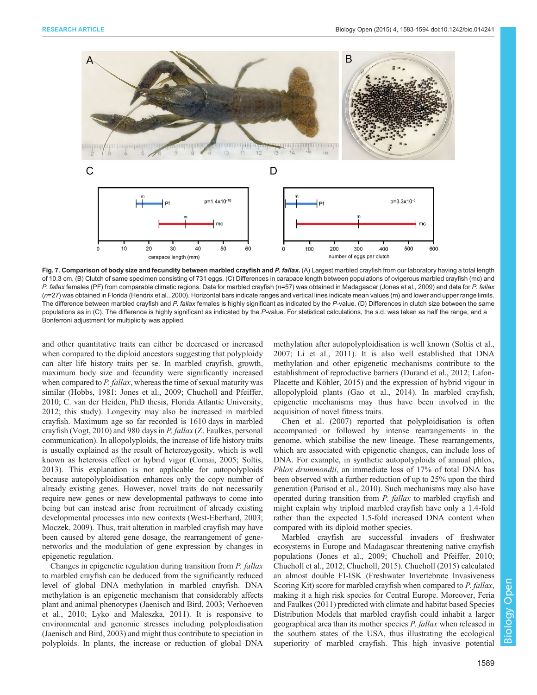<span id="page-6-0"></span>

Fig. 7. Comparison of body size and fecundity between marbled crayfish and P. fallax. (A) Largest marbled crayfish from our laboratory having a total length of 10.3 cm. (B) Clutch of same specimen consisting of 731 eggs. (C) Differences in carapace length between populations of ovigerous marbled crayfish (mc) and P. fallax females (PF) from comparable climatic regions. Data for marbled crayfish (n=57) was obtained in Madagascar ([Jones et al., 2009\)](#page-10-0) and data for P. fallax (n=27) was obtained in Florida [\(Hendrix et al., 2000](#page-10-0)). Horizontal bars indicate ranges and vertical lines indicate mean values (m) and lower and upper range limits. The difference between marbled crayfish and P. fallax females is highly significant as indicated by the P-value. (D) Differences in clutch size between the same populations as in (C). The difference is highly significant as indicated by the P-value. For statistical calculations, the s.d. was taken as half the range, and a Bonferroni adjustment for multiplicity was applied.

and other quantitative traits can either be decreased or increased when compared to the diploid ancestors suggesting that polyploidy can alter life history traits per se. In marbled crayfish, growth, maximum body size and fecundity were significantly increased when compared to  $P$ . fallax, whereas the time of sexual maturity was similar ([Hobbs, 1981; Jones et al., 2009;](#page-10-0) [Chucholl and Pfeiffer,](#page-9-0) [2010](#page-9-0); C. van der Heiden, PhD thesis, Florida Atlantic University, 2012; this study). Longevity may also be increased in marbled crayfish. Maximum age so far recorded is 1610 days in marbled crayfish ([Vogt, 2010](#page-11-0)) and 980 days in P. fallax (Z. Faulkes, personal communication). In allopolyploids, the increase of life history traits is usually explained as the result of heterozygosity, which is well known as heterosis effect or hybrid vigor [\(Comai, 2005;](#page-9-0) [Soltis,](#page-11-0) [2013](#page-11-0)). This explanation is not applicable for autopolyploids because autopolyploidisation enhances only the copy number of already existing genes. However, novel traits do not necessarily require new genes or new developmental pathways to come into being but can instead arise from recruitment of already existing developmental processes into new contexts [\(West-Eberhard, 2003](#page-11-0); [Moczek, 2009](#page-10-0)). Thus, trait alteration in marbled crayfish may have been caused by altered gene dosage, the rearrangement of genenetworks and the modulation of gene expression by changes in epigenetic regulation.

Changes in epigenetic regulation during transition from P. fallax to marbled crayfish can be deduced from the significantly reduced level of global DNA methylation in marbled crayfish. DNA methylation is an epigenetic mechanism that considerably affects plant and animal phenotypes [\(Jaenisch and Bird, 2003;](#page-10-0) [Verhoeven](#page-11-0) [et al., 2010;](#page-11-0) [Lyko and Maleszka, 2011\)](#page-10-0). It is responsive to environmental and genomic stresses including polyploidisation [\(Jaenisch and Bird, 2003\)](#page-10-0) and might thus contribute to speciation in polyploids. In plants, the increase or reduction of global DNA

methylation after autopolyploidisation is well known ([Soltis et al.,](#page-11-0) [2007;](#page-11-0) [Li et al., 2011](#page-10-0)). It is also well established that DNA methylation and other epigenetic mechanisms contribute to the establishment of reproductive barriers [\(Durand et al., 2012](#page-9-0); [Lafon-](#page-10-0)[Placette and Köhler, 2015](#page-10-0)) and the expression of hybrid vigour in allopolyploid plants ([Gao et al., 2014](#page-9-0)). In marbled crayfish, epigenetic mechanisms may thus have been involved in the acquisition of novel fitness traits.

[Chen et al. \(2007\)](#page-9-0) reported that polyploidisation is often accompanied or followed by intense rearrangements in the genome, which stabilise the new lineage. These rearrangements, which are associated with epigenetic changes, can include loss of DNA. For example, in synthetic autopolyploids of annual phlox, Phlox drummondii, an immediate loss of 17% of total DNA has been observed with a further reduction of up to 25% upon the third generation [\(Parisod et al., 2010\)](#page-10-0). Such mechanisms may also have operated during transition from P. fallax to marbled crayfish and might explain why triploid marbled crayfish have only a 1.4-fold rather than the expected 1.5-fold increased DNA content when compared with its diploid mother species.

Marbled crayfish are successful invaders of freshwater ecosystems in Europe and Madagascar threatening native crayfish populations [\(Jones et al., 2009;](#page-10-0) [Chucholl and Pfeiffer, 2010](#page-9-0); [Chucholl et al., 2012; Chucholl, 2015\)](#page-9-0). [Chucholl \(2015\)](#page-9-0) calculated an almost double FI-ISK (Freshwater Invertebrate Invasiveness Scoring Kit) score for marbled crayfish when compared to P. fallax, making it a high risk species for Central Europe. Moreover, [Feria](#page-9-0) [and Faulkes \(2011\)](#page-9-0) predicted with climate and habitat based Species Distribution Models that marbled crayfish could inhabit a larger geographical area than its mother species P. fallax when released in the southern states of the USA, thus illustrating the ecological superiority of marbled crayfish. This high invasive potential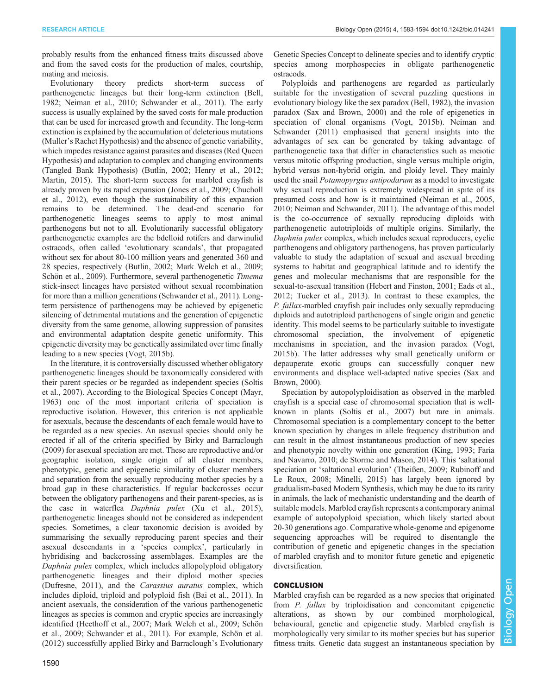probably results from the enhanced fitness traits discussed above and from the saved costs for the production of males, courtship, mating and meiosis.

Evolutionary theory predicts short-term success of parthenogenetic lineages but their long-term extinction ([Bell,](#page-9-0) [1982](#page-9-0); [Neiman et al., 2010; Schwander et al., 2011\)](#page-10-0). The early success is usually explained by the saved costs for male production that can be used for increased growth and fecundity. The long-term extinction is explained by the accumulation of deleterious mutations (Muller's Rachet Hypothesis) and the absence of genetic variability, which impedes resistance against parasites and diseases (Red Queen Hypothesis) and adaptation to complex and changing environments (Tangled Bank Hypothesis) ([Butlin, 2002;](#page-9-0) [Henry et al., 2012](#page-10-0); [Martin, 2015\)](#page-10-0). The short-term success for marbled crayfish is already proven by its rapid expansion ([Jones et al., 2009](#page-10-0); [Chucholl](#page-9-0) [et al., 2012](#page-9-0)), even though the sustainability of this expansion remains to be determined. The dead-end scenario for parthenogenetic lineages seems to apply to most animal parthenogens but not to all. Evolutionarily successful obligatory parthenogenetic examples are the bdelloid rotifers and darwinulid ostracods, often called 'evolutionary scandals', that propagated without sex for about 80-100 million years and generated 360 and 28 species, respectively [\(Butlin, 2002;](#page-9-0) [Mark Welch et al., 2009](#page-10-0); [Schön et al., 2009](#page-10-0)). Furthermore, several parthenogenetic Timema stick-insect lineages have persisted without sexual recombination for more than a million generations [\(Schwander et al., 2011](#page-10-0)). Longterm persistence of parthenogens may be achieved by epigenetic silencing of detrimental mutations and the generation of epigenetic diversity from the same genome, allowing suppression of parasites and environmental adaptation despite genetic uniformity. This epigenetic diversity may be genetically assimilated over time finally leading to a new species [\(Vogt, 2015b\)](#page-11-0).

In the literature, it is controversially discussed whether obligatory parthenogenetic lineages should be taxonomically considered with their parent species or be regarded as independent species ([Soltis](#page-11-0) [et al., 2007\)](#page-11-0). According to the Biological Species Concept [\(Mayr,](#page-10-0) [1963](#page-10-0)) one of the most important criteria of speciation is reproductive isolation. However, this criterion is not applicable for asexuals, because the descendants of each female would have to be regarded as a new species. An asexual species should only be erected if all of the criteria specified by [Birky and Barraclough](#page-9-0) [\(2009\)](#page-9-0) for asexual speciation are met. These are reproductive and/or geographic isolation, single origin of all cluster members, phenotypic, genetic and epigenetic similarity of cluster members and separation from the sexually reproducing mother species by a broad gap in these characteristics. If regular backcrosses occur between the obligatory parthenogens and their parent-species, as is the case in waterflea Daphnia pulex ([Xu et al., 2015\)](#page-11-0), parthenogenetic lineages should not be considered as independent species. Sometimes, a clear taxonomic decision is avoided by summarising the sexually reproducing parent species and their asexual descendants in a 'species complex', particularly in hybridising and backcrossing assemblages. Examples are the Daphnia pulex complex, which includes allopolyploid obligatory parthenogenetic lineages and their diploid mother species [\(Dufresne, 2011](#page-9-0)), and the Carassius auratus complex, which includes diploid, triploid and polyploid fish [\(Bai et al., 2011](#page-9-0)). In ancient asexuals, the consideration of the various parthenogenetic lineages as species is common and cryptic species are increasingly identified [\(Heethoff et al., 2007](#page-10-0); [Mark Welch et al., 2009; Schön](#page-10-0) [et al., 2009; Schwander et al., 2011](#page-10-0)). For example, [Schön et al.](#page-10-0) [\(2012\)](#page-10-0) successfully applied Birky and Barraclough's Evolutionary

Genetic Species Concept to delineate species and to identify cryptic species among morphospecies in obligate parthenogenetic ostracods.

Polyploids and parthenogens are regarded as particularly suitable for the investigation of several puzzling questions in evolutionary biology like the sex paradox ([Bell, 1982\)](#page-9-0), the invasion paradox ([Sax and Brown, 2000\)](#page-10-0) and the role of epigenetics in speciation of clonal organisms ([Vogt, 2015b\)](#page-11-0). [Neiman and](#page-10-0) [Schwander \(2011\)](#page-10-0) emphasised that general insights into the advantages of sex can be generated by taking advantage of parthenogenetic taxa that differ in characteristics such as meiotic versus mitotic offspring production, single versus multiple origin, hybrid versus non-hybrid origin, and ploidy level. They mainly used the snail Potamopyrgus antipodarum as a model to investigate why sexual reproduction is extremely widespread in spite of its presumed costs and how is it maintained [\(Neiman et al., 2005,](#page-10-0) [2010](#page-10-0); Neiman and Schwander, 2011). The advantage of this model is the co-occurrence of sexually reproducing diploids with parthenogenetic autotriploids of multiple origins. Similarly, the Daphnia pulex complex, which includes sexual reproducers, cyclic parthenogens and obligatory parthenogens, has proven particularly valuable to study the adaptation of sexual and asexual breeding systems to habitat and geographical latitude and to identify the genes and molecular mechanisms that are responsible for the sexual-to-asexual transition [\(Hebert and Finston, 2001](#page-10-0); [Eads et al.,](#page-9-0) [2012](#page-9-0); [Tucker et al., 2013](#page-11-0)). In contrast to these examples, the P. fallax-marbled crayfish pair includes only sexually reproducing diploids and autotriploid parthenogens of single origin and genetic identity. This model seems to be particularly suitable to investigate chromosomal speciation, the involvement of epigenetic mechanisms in speciation, and the invasion paradox ([Vogt,](#page-11-0) [2015b\)](#page-11-0). The latter addresses why small genetically uniform or depauperate exotic groups can successfully conquer new environments and displace well-adapted native species [\(Sax and](#page-10-0) [Brown, 2000\)](#page-10-0).

Speciation by autopolyploidisation as observed in the marbled crayfish is a special case of chromosomal speciation that is wellknown in plants ([Soltis et al., 2007](#page-11-0)) but rare in animals. Chromosomal speciation is a complementary concept to the better known speciation by changes in allele frequency distribution and can result in the almost instantaneous production of new species and phenotypic novelty within one generation [\(King, 1993](#page-10-0); [Faria](#page-9-0) [and Navarro, 2010; de Storme and Mason, 2014](#page-9-0)). This 'saltational speciation or 'saltational evolution' ([Theißen, 2009;](#page-11-0) [Rubinoff and](#page-10-0) [Le Roux, 2008](#page-10-0); [Minelli, 2015\)](#page-10-0) has largely been ignored by gradualism-based Modern Synthesis, which may be due to its rarity in animals, the lack of mechanistic understanding and the dearth of suitable models. Marbled crayfish represents a contemporary animal example of autopolyploid speciation, which likely started about 20-30 generations ago. Comparative whole-genome and epigenome sequencing approaches will be required to disentangle the contribution of genetic and epigenetic changes in the speciation of marbled crayfish and to monitor future genetic and epigenetic diversification.

# CONCLUSION

Marbled crayfish can be regarded as a new species that originated from P. fallax by triploidisation and concomitant epigenetic alterations, as shown by our combined morphological, behavioural, genetic and epigenetic study. Marbled crayfish is morphologically very similar to its mother species but has superior fitness traits. Genetic data suggest an instantaneous speciation by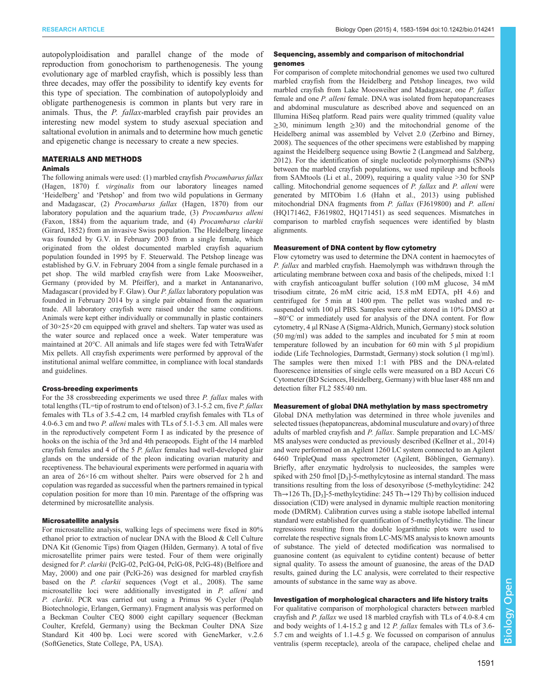autopolyploidisation and parallel change of the mode of reproduction from gonochorism to parthenogenesis. The young evolutionary age of marbled crayfish, which is possibly less than three decades, may offer the possibility to identify key events for this type of speciation. The combination of autopolyploidy and obligate parthenogenesis is common in plants but very rare in animals. Thus, the P. fallax-marbled crayfish pair provides an interesting new model system to study asexual speciation and saltational evolution in animals and to determine how much genetic and epigenetic change is necessary to create a new species.

# MATERIALS AND METHODS

## Animals

The following animals were used: (1) marbled crayfish Procambarus fallax (Hagen, 1870) f. virginalis from our laboratory lineages named 'Heidelberg' and 'Petshop' and from two wild populations in Germany and Madagascar, (2) Procambarus fallax (Hagen, 1870) from our laboratory population and the aquarium trade, (3) Procambarus alleni (Faxon, 1884) from the aquarium trade, and (4) Procambarus clarkii (Girard, 1852) from an invasive Swiss population. The Heidelberg lineage was founded by G.V. in February 2003 from a single female, which originated from the oldest documented marbled crayfish aquarium population founded in 1995 by F. Steuerwald. The Petshop lineage was established by G.V. in February 2004 from a single female purchased in a pet shop. The wild marbled crayfish were from Lake Moosweiher, Germany ( provided by M. Pfeiffer), and a market in Antananarivo, Madagascar ( provided by F. Glaw). Our P. fallax laboratory population was founded in February 2014 by a single pair obtained from the aquarium trade. All laboratory crayfish were raised under the same conditions. Animals were kept either individually or communally in plastic containers of 30×25×20 cm equipped with gravel and shelters. Tap water was used as the water source and replaced once a week. Water temperature was maintained at 20°C. All animals and life stages were fed with TetraWafer Mix pellets. All crayfish experiments were performed by approval of the institutional animal welfare committee, in compliance with local standards and guidelines.

#### Cross-breeding experiments

For the 38 crossbreeding experiments we used three *P. fallax* males with total lengths (TL=tip of rostrum to end of telson) of 3.1-5.2 cm, five P. fallax females with TLs of 3.5-4.2 cm, 14 marbled crayfish females with TLs of 4.0-6.3 cm and two P. alleni males with TLs of 5.1-5.3 cm. All males were in the reproductively competent Form I as indicated by the presence of hooks on the ischia of the 3rd and 4th peraeopods. Eight of the 14 marbled crayfish females and 4 of the 5 P. fallax females had well-developed glair glands on the underside of the pleon indicating ovarian maturity and receptiveness. The behavioural experiments were performed in aquaria with an area of 26×16 cm without shelter. Pairs were observed for 2 h and copulation was regarded as successful when the partners remained in typical copulation position for more than 10 min. Parentage of the offspring was determined by microsatellite analysis.

## Microsatellite analysis

For microsatellite analysis, walking legs of specimens were fixed in 80% ethanol prior to extraction of nuclear DNA with the Blood & Cell Culture DNA Kit (Genomic Tips) from Qiagen (Hilden, Germany). A total of five microsatellite primer pairs were tested. Four of them were originally designed for P. clarkii (PclG-02, PclG-04, PclG-08, PclG-48) ([Belfiore and](#page-9-0) [May, 2000\)](#page-9-0) and one pair (PclG-26) was designed for marbled crayfish based on the P. clarkii sequences [\(Vogt et al., 2008](#page-11-0)). The same microsatellite loci were additionally investigated in P. alleni and P. clarkii. PCR was carried out using a Primus 96 Cycler (Peqlab Biotechnologie, Erlangen, Germany). Fragment analysis was performed on a Beckman Coulter CEQ 8000 eight capillary sequencer (Beckman Coulter, Krefeld, Germany) using the Beckman Coulter DNA Size Standard Kit 400 bp. Loci were scored with GeneMarker, v.2.6 (SoftGenetics, State College, PA, USA).

## Sequencing, assembly and comparison of mitochondrial genomes

For comparison of complete mitochondrial genomes we used two cultured marbled crayfish from the Heidelberg and Petshop lineages, two wild marbled crayfish from Lake Moosweiher and Madagascar, one P. fallax female and one P. alleni female. DNA was isolated from hepatopancreases and abdominal musculature as described above and sequenced on an Illumina HiSeq platform. Read pairs were quality trimmed (quality value  $\geq$ 30, minimum length  $\geq$ 30) and the mitochondrial genome of the Heidelberg animal was assembled by Velvet 2.0 [\(Zerbino and Birney,](#page-11-0) [2008\)](#page-11-0). The sequences of the other specimens were established by mapping against the Heidelberg sequence using Bowtie 2 ([Langmead and Salzberg,](#page-10-0) [2012\)](#page-10-0). For the identification of single nucleotide polymorphisms (SNPs) between the marbled crayfish populations, we used mpileup and bcftools from SAMtools ([Li et al., 2009](#page-10-0)), requiring a quality value >30 for SNP calling. Mitochondrial genome sequences of P. fallax and P. alleni were generated by MITObim 1.6 [\(Hahn et al., 2013](#page-10-0)) using published mitochondrial DNA fragments from P. fallax (FJ619800) and P. alleni (HQ171462, FJ619802, HQ171451) as seed sequences. Mismatches in comparison to marbled crayfish sequences were identified by blastn alignments.

#### Measurement of DNA content by flow cytometry

Flow cytometry was used to determine the DNA content in haemocytes of P. fallax and marbled crayfish. Haemolymph was withdrawn through the articulating membrane between coxa and basis of the chelipeds, mixed 1:1 with crayfish anticoagulant buffer solution (100 mM glucose, 34 mM trisodium citrate, 26 mM citric acid, 15.8 mM EDTA, pH 4.6) and centrifuged for 5 min at 1400 rpm. The pellet was washed and resuspended with 100 µl PBS. Samples were either stored in 10% DMSO at −80°C or immediately used for analysis of the DNA content. For flow cytometry, 4 µl RNase A (Sigma-Aldrich, Munich, Germany) stock solution (50 mg/ml) was added to the samples and incubated for 5 min at room temperature followed by an incubation for 60 min with 5 µl propidium iodide (Life Technologies, Darmstadt, Germany) stock solution (1 mg/ml). The samples were then mixed 1:1 with PBS and the DNA-related fluorescence intensities of single cells were measured on a BD Accuri C6 Cytometer (BD Sciences, Heidelberg, Germany) with blue laser 488 nm and detection filter FL2 585/40 nm.

#### Measurement of global DNA methylation by mass spectrometry

Global DNA methylation was determined in three whole juveniles and selected tissues (hepatopancreas, abdominal musculature and ovary) of three adults of marbled crayfish and P. fallax. Sample preparation and LC-MS/ MS analyses were conducted as previously described [\(Kellner et al., 2014](#page-10-0)) and were performed on an Agilent 1260 LC system connected to an Agilent 6460 TripleQuad mass spectrometer (Agilent, Böblingen, Germany). Briefly, after enzymatic hydrolysis to nucleosides, the samples were spiked with 250 fmol  $[D_3]$ -5-methylcytosine as internal standard. The mass transitions resulting from the loss of desoxyribose (5-methylcytidine: 242 Th $\rightarrow$ 126 Th, [D<sub>3</sub>]-5-methylcytidine: 245 Th $\rightarrow$ 129 Th) by collision induced dissociation (CID) were analysed in dynamic multiple reaction monitoring mode (DMRM). Calibration curves using a stable isotope labelled internal standard were established for quantification of 5-methylcytidine. The linear regressions resulting from the double logarithmic plots were used to correlate the respective signals from LC-MS/MS analysis to known amounts of substance. The yield of detected modification was normalised to guanosine content (as equivalent to cytidine content) because of better signal quality. To assess the amount of guanosine, the areas of the DAD results, gained during the LC analysis, were correlated to their respective amounts of substance in the same way as above.

# Investigation of morphological characters and life history traits

For qualitative comparison of morphological characters between marbled crayfish and P. fallax we used 18 marbled crayfish with TLs of 4.0-8.4 cm and body weights of 1.4-15.2 g and 12 P. fallax females with TLs of 3.6- 5.7 cm and weights of 1.1-4.5 g. We focussed on comparison of annulus ventralis (sperm receptacle), areola of the carapace, cheliped chelae and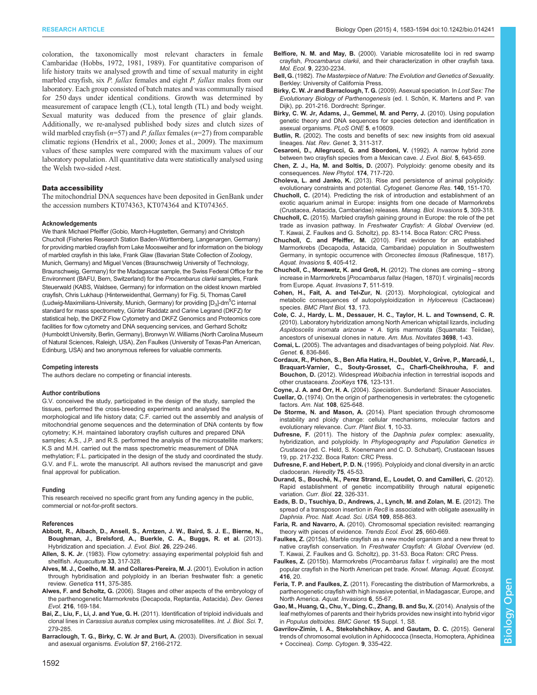<span id="page-9-0"></span>RESEARCH ARTICLE Biology Open (2015) 4, 1583-1594 doi:10.1242/bio.014241

coloration, the taxonomically most relevant characters in female Cambaridae ([Hobbs, 1972](#page-10-0), [1981, 1989](#page-10-0)). For quantitative comparison of life history traits we analysed growth and time of sexual maturity in eight marbled crayfish, six P. fallax females and eight P. fallax males from our laboratory. Each group consisted of batch mates and was communally raised for 250 days under identical conditions. Growth was determined by measurement of carapace length (CL), total length (TL) and body weight. Sexual maturity was deduced from the presence of glair glands. Additionally, we re-analysed published body sizes and clutch sizes of wild marbled crayfish ( $n=57$ ) and P. fallax females ( $n=27$ ) from comparable climatic regions ([Hendrix et al., 2000;](#page-10-0) Jones et al., 2009). The maximum values of these samples were compared with the maximum values of our laboratory population. All quantitative data were statistically analysed using the Welsh two-sided t-test.

## Data accessibility

The mitochondrial DNA sequences have been deposited in GenBank under the accession numbers KT074363, KT074364 and KT074365.

#### Acknowledgements

We thank Michael Pfeiffer (Gobio, March-Hugstetten, Germany) and Christoph Chucholl (Fisheries Research Station Baden-Württemberg, Langenargen, Germany) for providing marbled crayfish from Lake Moosweiher and for information on the biology of marbled crayfish in this lake, Frank Glaw (Bavarian State Collection of Zoology, Munich, Germany) and Miguel Vences (Braunschweig University of Technology, Braunschweig, Germany) for the Madagascar sample, the Swiss Federal Office for the Environment (BAFU, Bern, Switzerland) for the Procambarus clarkii samples, Frank Steuerwald (KABS, Waldsee, Germany) for information on the oldest known marbled crayfish, Chris Lukhaup (Hinterweidenthal, Germany) for [Fig. 5](#page-4-0)i, Thomas Carell (Ludwig-Maximilians-University, Munich, Germany) for providing  $\text{[D}_3\text{]}$ -dm $^5\text{C}$  internal standard for mass spectrometry, Günter Raddatz and Carine Legrand (DKFZ) for statistical help, the DKFZ Flow Cytometry and DKFZ Genomics and Proteomics core facilities for flow cytometry and DNA sequencing services, and Gerhard Scholtz (Humboldt University, Berlin, Germany), Bronwyn W. Williams (North Carolina Museum of Natural Sciences, Raleigh, USA), Zen Faulkes (University of Texas-Pan American, Edinburg, USA) and two anonymous referees for valuable comments.

#### Competing interests

The authors declare no competing or financial interests.

#### Author contributions

G.V. conceived the study, participated in the design of the study, sampled the tissues, performed the cross-breeding experiments and analysed the morphological and life history data; C.F. carried out the assembly and analysis of mitochondrial genome sequences and the determination of DNA contents by flow cytometry; K.H. maintained laboratory crayfish cultures and prepared DNA samples; A.S., J.P. and R.S. performed the analysis of the microsatellite markers; K.S and M.H. carried out the mass spectrometric measurement of DNA methylation; F.L. participated in the design of the study and coordinated the study. G.V. and F.L. wrote the manuscript. All authors revised the manuscript and gave final approval for publication.

#### Funding

This research received no specific grant from any funding agency in the public, commercial or not-for-profit sectors.

#### References

- [Abbott, R., Albach, D., Ansell, S., Arntzen, J. W., Baird, S. J. E., Bierne, N.,](http://dx.doi.org/10.1111/j.1420-9101.2012.02599.x) [Boughman, J., Brelsford, A., Buerkle, C. A., Buggs, R. et al.](http://dx.doi.org/10.1111/j.1420-9101.2012.02599.x) (2013). [Hybridization and speciation.](http://dx.doi.org/10.1111/j.1420-9101.2012.02599.x) J. Evol. Biol. 26, 229-246.
- Allen, S. K. Jr[. \(1983\). Flow cytometry: assaying experimental polyploid fish and](http://dx.doi.org/10.1016/0044-8486(83)90412-X) shellfish. [Aquaculture](http://dx.doi.org/10.1016/0044-8486(83)90412-X) 33, 317-328.
- [Alves, M. J., Coelho, M. M. and Collares-Pereira, M. J.](http://dx.doi.org/10.1023/A:1013783029921) (2001). Evolution in action [through hybridisation and polyploidy in an Iberian freshwater fish: a genetic](http://dx.doi.org/10.1023/A:1013783029921) review. Genetica 111[, 375-385.](http://dx.doi.org/10.1023/A:1013783029921)
- Alwes, F. and Scholtz, G. [\(2006\). Stages and other aspects of the embryology of](http://dx.doi.org/10.1007/s00427-005-0041-8) [the parthenogenetic Marmorkrebs \(Decapoda, Reptantia, Astacida\).](http://dx.doi.org/10.1007/s00427-005-0041-8) Dev. Genes Evol. 216[, 169-184.](http://dx.doi.org/10.1007/s00427-005-0041-8)
- Bai, Z., Liu, F., Li, J. and Yue, G. H. [\(2011\). Identification of triploid individuals and](http://dx.doi.org/10.7150/ijbs.7.279) clonal lines in Carassius auratus [complex using microsatellites.](http://dx.doi.org/10.7150/ijbs.7.279) Int. J. Biol. Sci. 7, [279-285.](http://dx.doi.org/10.7150/ijbs.7.279)
- [Barraclough, T. G., Birky, C. W. Jr and Burt, A.](http://dx.doi.org/10.1111/j.0014-3820.2003.tb00394.x) (2003). Diversification in sexual [and asexual organisms.](http://dx.doi.org/10.1111/j.0014-3820.2003.tb00394.x) Evolution 57, 2166-2172.
- Belfiore, N. M. and May, B. [\(2000\). Variable microsatellite loci in red swamp](http://dx.doi.org/10.1046/j.1365-294X.2000.105339.x) crayfish, Procambarus clarkii[, and their characterization in other crayfish taxa.](http://dx.doi.org/10.1046/j.1365-294X.2000.105339.x) Mol. Ecol. 9[, 2230-2234.](http://dx.doi.org/10.1046/j.1365-294X.2000.105339.x)
- Bell, G. (1982). The Masterpiece of Nature: The Evolution and Genetics of Sexuality. Berkley: University of California Press.
- Birky, C. W. Jr and Barraclough, T. G. (2009). Asexual speciation. In Lost Sex: The Evolutionary Biology of Parthenogenesis (ed. I. Schön, K. Martens and P. van Dijk), pp. 201-216. Dordrecht: Springer.
- [Birky, C. W. Jr, Adams, J., Gemmel, M. and Perry, J.](http://dx.doi.org/10.1371/journal.pone.0010609) (2010). Using population [genetic theory and DNA sequences for species detection and identification in](http://dx.doi.org/10.1371/journal.pone.0010609) [asexual organisms.](http://dx.doi.org/10.1371/journal.pone.0010609) PLoS ONE 5, e10609.
- Butlin, R. [\(2002\). The costs and benefits of sex: new insights from old asexual](http://dx.doi.org/10.1038/nrg749) lineages. [Nat. Rev. Genet.](http://dx.doi.org/10.1038/nrg749) 3, 311-317.
- [Cesaroni, D., Allegrucci, G. and Sbordoni, V.](http://dx.doi.org/10.1046/j.1420-9101.1992.5040643.x) (1992). A narrow hybrid zone [between two crayfish species from a Mexican cave.](http://dx.doi.org/10.1046/j.1420-9101.1992.5040643.x) J. Evol. Biol. 5, 643-659.
- Chen, Z. J., Ha, M. and Soltis, D. [\(2007\). Polyploidy: genome obesity and its](http://dx.doi.org/10.1111/j.1469-8137.2007.02084.x) [consequences.](http://dx.doi.org/10.1111/j.1469-8137.2007.02084.x) New Phytol. 174, 717-720.
- Choleva, L. and Janko, K. [\(2013\). Rise and persistence of animal polyploidy:](http://dx.doi.org/10.1159/000353464) [evolutionary constraints and potential.](http://dx.doi.org/10.1159/000353464) Cytogenet. Genome Res. 140, 151-170.
- Chucholl, C. [\(2014\). Predicting the risk of introduction and establishment of an](http://dx.doi.org/10.3391/mbi.2014.5.4.01) [exotic aquarium animal in Europe: insights from one decade of Marmorkrebs](http://dx.doi.org/10.3391/mbi.2014.5.4.01) [\(Crustacea, Astacida, Cambaridae\) releases.](http://dx.doi.org/10.3391/mbi.2014.5.4.01) Manag. Biol. Invasions 5, 309-318.
- Chucholl, C. (2015). Marbled crayfish gaining ground in Europe: the role of the pet trade as invasion pathway. In Freshwater Crayfish: A Global Overview (ed. T. Kawai, Z. Faulkes and G. Scholtz), pp. 83-114. Boca Raton: CRC Press.
- Chucholl, C. and Pfeiffer, M. [\(2010\). First evidence for an established](http://dx.doi.org/10.3391/ai.2010.5.4.10) [Marmorkrebs \(Decapoda, Astacida, Cambaridae\) population in Southwestern](http://dx.doi.org/10.3391/ai.2010.5.4.10) [Germany, in syntopic occurrence with](http://dx.doi.org/10.3391/ai.2010.5.4.10) Orconectes limosus (Rafinesque, 1817). [Aquat. Invasions](http://dx.doi.org/10.3391/ai.2010.5.4.10) 5, 405-412.
- [Chucholl, C., Morawetz, K. and Groß, H.](http://dx.doi.org/10.3391/ai.2012.7.4.008) (2012). The clones are coming strong increase in Marmorkrebs [Procambarus fallax [\(Hagen, 1870\) f. virginalis\] records](http://dx.doi.org/10.3391/ai.2012.7.4.008) from Europe. [Aquat. Invasions](http://dx.doi.org/10.3391/ai.2012.7.4.008) 7, 511-519.
- Cohen, H., Fait, A. and Tel-Zur, N. [\(2013\). Morphological, cytological and](http://dx.doi.org/10.1186/1471-2229-13-173) [metabolic consequences of autopolyploidization in](http://dx.doi.org/10.1186/1471-2229-13-173) Hylocereus (Cactaceae) species. [BMC Plant Biol.](http://dx.doi.org/10.1186/1471-2229-13-173) 13, 173.
- [Cole, C. J., Hardy, L. M., Dessauer, H. C., Taylor, H. L. and Townsend, C. R.](http://dx.doi.org/10.1206/3698.2) [\(2010\). Laboratory hybridization among North American whiptail lizards, including](http://dx.doi.org/10.1206/3698.2) Aspidoscelis inornata arizonae × A[. tigris marmorata \(Squamata: Teiidae\),](http://dx.doi.org/10.1206/3698.2) [ancestors of unisexual clones in nature.](http://dx.doi.org/10.1206/3698.2) Am. Mus. Novitates 3698, 1-43.
- Comai, L. [\(2005\). The advantages and disadvantages of being polyploid.](http://dx.doi.org/10.1038/nrg1711) Nat. Rev. Genet. 6[, 836-846.](http://dx.doi.org/10.1038/nrg1711)
- Cordaux, R., Pichon, S., Ben Afia Hatira, H., Doublet, V., Grève, P., Marcadé, I., [Braquart-Varnier, C., Souty-Grosset, C., Charfi-Cheikhrouha, F. and](http://dx.doi.org/10.3897/zookeys.176.2284) Bouchon, D. (2012). Widespread Wolbachia [infection in terrestrial isopods and](http://dx.doi.org/10.3897/zookeys.176.2284) [other crustaceans.](http://dx.doi.org/10.3897/zookeys.176.2284) ZooKeys 176, 123-131.
- Coyne, J. A. and Orr, H. A. (2004). Speciation. Sunderland: Sinauer Associates. Cuellar, O. [\(1974\). On the origin of parthenogenesis in vertebrates: the cytogenetic](http://dx.doi.org/10.1086/282940)
- factors. Am. Nat. 108[, 625-648.](http://dx.doi.org/10.1086/282940) De Storme, N. and Mason, A. [\(2014\). Plant speciation through chromosome](http://dx.doi.org/10.1016/j.cpb.2014.09.002)
- [instability and ploidy change: cellular mechanisms, molecular factors and](http://dx.doi.org/10.1016/j.cpb.2014.09.002) [evolutionary relevance.](http://dx.doi.org/10.1016/j.cpb.2014.09.002) Curr. Plant Biol. 1, 10-33.
- Dufresne, F. (2011). The history of the Daphnia pulex complex: asexuality, hybridization, and polyploidy. In Phylogeography and Population Genetics in Crustacea (ed. C. Held, S. Koenemann and C. D. Schubart), Crustacean Issues 19, pp. 217-232. Boca Raton: CRC Press.
- Dufresne, F. and Hebert, P. D. N. [\(1995\). Polyploidy and clonal diversity in an arctic](http://dx.doi.org/10.1038/hdy.1995.102) [cladoceran.](http://dx.doi.org/10.1038/hdy.1995.102) Heredity 75, 45-53.
- Durand, S., Bouché[, N., Perez Strand, E., Loudet, O. and Camilleri, C.](http://dx.doi.org/10.1016/j.cub.2011.12.054) (2012). [Rapid establishment of genetic incompatibility through natural epigenetic](http://dx.doi.org/10.1016/j.cub.2011.12.054) variation. Curr. Biol. 22[, 326-331.](http://dx.doi.org/10.1016/j.cub.2011.12.054)
- [Eads, B. D., Tsuchiya, D., Andrews, J., Lynch, M. and Zolan, M. E.](http://dx.doi.org/10.1073/pnas.1119667109) (2012). The spread of a transposon insertion in Rec8 [is associated with obligate asexuality in](http://dx.doi.org/10.1073/pnas.1119667109) Daphnia. [Proc. Natl. Acad. Sci. USA](http://dx.doi.org/10.1073/pnas.1119667109) 109, 858-863.
- Faria, R. and Navarro, A. [\(2010\). Chromosomal speciation revisited: rearranging](http://dx.doi.org/10.1016/j.tree.2010.07.008) [theory with pieces of evidence.](http://dx.doi.org/10.1016/j.tree.2010.07.008) Trends Ecol. Evol. 25, 660-669.
- Faulkes, Z. (2015a). Marble crayfish as a new model organism and a new threat to native crayfish conservation. In Freshwater Crayfish: A Global Overview (ed. T. Kawai, Z. Faulkes and G. Scholtz), pp. 31-53. Boca Raton: CRC Press.
- Faulkes, Z. [\(2015b\). Marmorkrebs \(](http://dx.doi.org/10.1051/kmae/2015016)Procambarus fallax f. virginalis) are the most [popular crayfish in the North American pet trade.](http://dx.doi.org/10.1051/kmae/2015016) Knowl. Manag. Aquat. Ecosyst. 416[, 20.](http://dx.doi.org/10.1051/kmae/2015016)
- Feria, T. P. and Faulkes, Z. [\(2011\). Forecasting the distribution of Marmorkrebs, a](http://dx.doi.org/10.3391/ai.2011.6.1.07) [parthenogenetic crayfish with high invasive potential, in Madagascar, Europe, and](http://dx.doi.org/10.3391/ai.2011.6.1.07) North America. [Aquat. Invasions](http://dx.doi.org/10.3391/ai.2011.6.1.07) 6, 55-67.
- [Gao, M., Huang, Q., Chu, Y., Ding, C., Zhang, B. and Su, X.](http://dx.doi.org/10.1186/1471-2156-15-S1-S8) (2014). Analysis of the [leaf methylomes of parents and their hybrids provides new insight into hybrid vigor](http://dx.doi.org/10.1186/1471-2156-15-S1-S8) in [Populus deltoides](http://dx.doi.org/10.1186/1471-2156-15-S1-S8). BMC Genet. 15 Suppl. 1, S8.

[Gavrilov-Zimin, I. A., Stekolshchikov, A. and Gautam, D. C.](http://dx.doi.org/10.3897/CompCytogen.v9i3.4930) (2015). General [trends of chromosomal evolution in Aphidococca \(Insecta, Homoptera, Aphidinea](http://dx.doi.org/10.3897/CompCytogen.v9i3.4930) + Coccinea). [Comp. Cytogen.](http://dx.doi.org/10.3897/CompCytogen.v9i3.4930) 9, 335-422.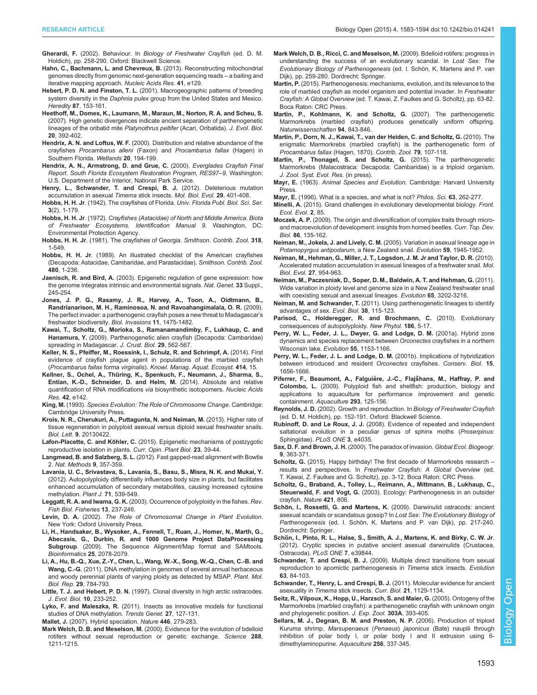- <span id="page-10-0"></span>Gherardi, F. (2002). Behaviour. In Biology of Freshwater Crayfish (ed. D. M. Holdich), pp. 258-290. Oxford: Blackwell Science.
- [Hahn, C., Bachmann, L. and Chevreux, B.](http://dx.doi.org/10.1093/nar/gkt371) (2013). Reconstructing mitochondrial [genomes directly from genomic next-generation sequencing reads](http://dx.doi.org/10.1093/nar/gkt371) – a baiting and [iterative mapping approach.](http://dx.doi.org/10.1093/nar/gkt371) Nucleic Acids Res. 41, e129.
- Hebert, P. D. N. and Finston, T. L. [\(2001\). Macrogeographic patterns of breeding](http://dx.doi.org/10.1046/j.1365-2540.2001.00885.x) system diversity in the Daphnia pulex [group from the United States and Mexico.](http://dx.doi.org/10.1046/j.1365-2540.2001.00885.x) Heredity 87[, 153-161.](http://dx.doi.org/10.1046/j.1365-2540.2001.00885.x)
- [Heethoff, M., Domes, K., Laumann, M., Maraun, M., Norton, R. A. and Scheu, S.](http://dx.doi.org/10.1111/j.1420-9101.2006.01183.x) [\(2007\). High genetic divergences indicate ancient separation of parthenogenetic](http://dx.doi.org/10.1111/j.1420-9101.2006.01183.x) [lineages of the oribatid mite](http://dx.doi.org/10.1111/j.1420-9101.2006.01183.x) Platynothrus peltifer (Acari, Oribatida). J. Evol. Biol. 20[, 392-402.](http://dx.doi.org/10.1111/j.1420-9101.2006.01183.x)
- Hendrix, A. N. and Loftus, W. F. [\(2000\). Distribution and relative abundance of the](http://dx.doi.org/10.1672/0277-5212(2000)020[0194:DARAOT]2.0.CO;2) crayfishes [Procambarus alleni](http://dx.doi.org/10.1672/0277-5212(2000)020[0194:DARAOT]2.0.CO;2) (Faxon) and Procambarus fallax (Hagen) in [Southern Florida.](http://dx.doi.org/10.1672/0277-5212(2000)020[0194:DARAOT]2.0.CO;2) Wetlands 20, 194-199.
- Hendrix, A. N., Armstrong, D. and Grue, C. (2000). Everglades Crayfish Final Report. South Florida Ecosystem Restoration Program, RES97–9. Washington: U.S. Department of the Interior, National Park Service.
- [Henry, L., Schwander, T. and Crespi, B. J.](http://dx.doi.org/10.1093/molbev/msr237) (2012). Deleterious mutation [accumulation in asexual](http://dx.doi.org/10.1093/molbev/msr237) Timema stick insects. Mol. Biol. Evol. 29, 401-408.
- Hobbs, H. H. Jr. (1942). The crayfishes of Florida. Univ. Florida Publ. Biol. Sci. Ser. 3(2), 1-179.
- Hobbs, H. H. Jr. (1972). Crayfishes (Astacidae) of North and Middle America. Biota of Freshwater Ecosystems. Identification Manual 9. Washington, DC: Environmental Protection Agency.
- Hobbs, H. H. Jr[. \(1981\). The crayfishes of Georgia.](http://dx.doi.org/10.5479/si.00810282.318) Smithson. Contrib. Zool. 318, [1-549.](http://dx.doi.org/10.5479/si.00810282.318)
- Hobbs, H. H. Jr[. \(1989\). An illustrated checklist of the American crayfishes](http://dx.doi.org/10.5479/si.00810282.480) [\(Decapoda: Astacidae, Cambaridae, and Parastacidae\).](http://dx.doi.org/10.5479/si.00810282.480) Smithson. Contrib. Zool. 480[, 1-236.](http://dx.doi.org/10.5479/si.00810282.480)
- Jaenisch, R. and Bird, A. [\(2003\). Epigenetic regulation of gene expression: how](http://dx.doi.org/10.1038/ng1089) [the genome integrates intrinsic and environmental signals.](http://dx.doi.org/10.1038/ng1089) Nat. Genet. 33 Suppl., [245-254.](http://dx.doi.org/10.1038/ng1089)
- [Jones, J. P. G., Rasamy, J. R., Harvey, A., Toon, A., Oidtmann, B.,](http://dx.doi.org/10.1007/s10530-008-9334-y) [Randrianarison, M. H., Raminosoa, N. and Ravoahangimalala, O. R.](http://dx.doi.org/10.1007/s10530-008-9334-y) (2009). [The perfect invader: a parthenogenic crayfish poses a new threat to Madagascar](http://dx.doi.org/10.1007/s10530-008-9334-y)'s [freshwater biodiversity.](http://dx.doi.org/10.1007/s10530-008-9334-y) Biol. Invasions 11, 1475-1482.
- [Kawai, T., Scholtz, G., Morioka, S., Ramanamandimby, F., Lukhaup, C. and](http://dx.doi.org/10.1651/08-3125.1) Hanamura, Y. [\(2009\). Parthenogenetic alien crayfish \(Decapoda: Cambaridae\)](http://dx.doi.org/10.1651/08-3125.1) [spreading in Madagascar.](http://dx.doi.org/10.1651/08-3125.1) J. Crust. Biol. 29, 562-567.
- [Keller, N. S., Pfeiffer, M., Roessink, I., Schulz, R. and Schrimpf, A.](http://dx.doi.org/10.1051/kmae/2014032) (2014). First [evidence of crayfish plague agent in populations of the marbled crayfish](http://dx.doi.org/10.1051/kmae/2014032) (Procambarus fallax forma virginalis). [Knowl. Manag. Aquat. Ecosyst.](http://dx.doi.org/10.1051/kmae/2014032) 414, 15.
- Kellner, S., Ochel, A., Thü[ring, K., Spenkuch, F., Neumann, J., Sharma, S.,](http://dx.doi.org/10.1093/nar/gku733) [Entian, K.-D., Schneider, D. and Helm, M.](http://dx.doi.org/10.1093/nar/gku733) (2014). Absolute and relative [quantification of RNA modifications](http://dx.doi.org/10.1093/nar/gku733) via biosynthetic isotopomers. Nucleic Acids Res. 42[, e142.](http://dx.doi.org/10.1093/nar/gku733)
- King, M. (1993). Species Evolution: The Role of Chromosome Change. Cambridge: Cambridge University Press.
- [Krois, N. R., Cherukuri, A., Puttagunta, N. and Neiman, M.](http://dx.doi.org/10.1098/rsbl.2013.0422) (2013). Higher rate of [tissue regeneration in polyploid asexual versus diploid sexual freshwater snails.](http://dx.doi.org/10.1098/rsbl.2013.0422) Biol. Lett. 9[, 20130422.](http://dx.doi.org/10.1098/rsbl.2013.0422)
- Lafon-Placette, C. and Köhler, C. [\(2015\). Epigenetic mechanisms of postzygotic](http://dx.doi.org/10.1016/j.pbi.2014.10.006) [reproductive isolation in plants.](http://dx.doi.org/10.1016/j.pbi.2014.10.006) Curr. Opin. Plant Biol. 23, 39-44.
- Langmead, B. and Salzberg, S. L. [\(2012\). Fast gapped-read alignment with Bowtie](http://dx.doi.org/10.1038/nmeth.1923) 2. [Nat. Methods](http://dx.doi.org/10.1038/nmeth.1923) 9, 357-359.
- [Lavania, U. C., Srivastava, S., Lavania, S., Basu, S., Misra, N. K. and Mukai, Y.](http://dx.doi.org/10.1111/j.1365-313X.2012.05006.x) [\(2012\). Autopolyploidy differentially influences body size in plants, but facilitates](http://dx.doi.org/10.1111/j.1365-313X.2012.05006.x) [enhanced accumulation of secondary metabolites, causing increased cytosine](http://dx.doi.org/10.1111/j.1365-313X.2012.05006.x) [methylation.](http://dx.doi.org/10.1111/j.1365-313X.2012.05006.x) Plant J. 71, 539-549.
- Leggatt, R. A. and Iwama, G. K. [\(2003\). Occurrence of polyploidy in the fishes.](http://dx.doi.org/10.1023/B:RFBF.0000033049.00668.fe) Rev. [Fish Biol. Fisheries](http://dx.doi.org/10.1023/B:RFBF.0000033049.00668.fe) 13, 237-246.
- Levin, D. A. (2002). The Role of Chromosomal Change in Plant Evolution. New York: Oxford University Press.
- [Li, H., Handsaker, B., Wysoker, A., Fennell, T., Ruan, J., Homer, N., Marth, G.,](http://dx.doi.org/10.1093/bioinformatics/btp352) [Abecasis, G., Durbin, R. and 1000 Genome Project DataProcessing](http://dx.doi.org/10.1093/bioinformatics/btp352) Subgroup[. \(2009\). The Sequence Alignment/Map format and SAMtools.](http://dx.doi.org/10.1093/bioinformatics/btp352) [Bioinformatics](http://dx.doi.org/10.1093/bioinformatics/btp352) 25, 2078-2079.
- [Li, A., Hu, B.-Q., Xue, Z.-Y., Chen, L., Wang, W.-X., Song, W.-Q., Chen, C.-B. and](http://dx.doi.org/10.1007/s11105-010-0280-3) Wang, C.-G. [\(2011\). DNA methylation in genomes of several annual herbaceous](http://dx.doi.org/10.1007/s11105-010-0280-3) [and woody perennial plants of varying ploidy as detected by MSAP.](http://dx.doi.org/10.1007/s11105-010-0280-3) Plant. Mol. Biol. Rep. 29[, 784-793.](http://dx.doi.org/10.1007/s11105-010-0280-3)
- Little, T. J. and Hebert, P. D. N. [\(1997\). Clonal diversity in high arctic ostracodes.](http://dx.doi.org/10.1007/s000360050020) [J. Evol. Biol.](http://dx.doi.org/10.1007/s000360050020) 10, 233-252.
- Lyko, F. and Maleszka, R. [\(2011\). Insects as innovative models for functional](http://dx.doi.org/10.1016/j.tig.2011.01.003) [studies of DNA methylation.](http://dx.doi.org/10.1016/j.tig.2011.01.003) Trends Genet. 27, 127-131.
- Mallet, J. [\(2007\). Hybrid speciation.](http://dx.doi.org/10.1038/nature05706) Nature 446, 279-283.
- Mark Welch, D. B. and Meselson, M. [\(2000\). Evidence for the evolution of bdelloid](http://dx.doi.org/10.1126/science.288.5469.1211) [rotifers without sexual reproduction or genetic exchange.](http://dx.doi.org/10.1126/science.288.5469.1211) Science 288, [1211-1215.](http://dx.doi.org/10.1126/science.288.5469.1211)
- Mark Welch, D. B., Ricci, C. and Meselson, M. (2009). Bdelloid rotifers: progress in understanding the success of an evolutionary scandal. In Lost Sex: The Evolutionary Biology of Parthenogenesis (ed. I. Schön, K. Martens and P. van Dijk), pp. 259-280. Dordrecht: Springer.
- Martin, P. (2015). Parthenogenesis: mechanisms, evolution, and its relevance to the role of marbled crayfish as model organism and potential invader. In Freshwater Crayfish: A Global Overview (ed. T. Kawai, Z. Faulkes and G. Scholtz), pp. 63-82. Boca Raton: CRC Press.
- [Martin, P., Kohlmann, K. and Scholtz, G.](http://dx.doi.org/10.1007/s00114-007-0260-0) (2007). The parthenogenetic [Marmorkrebs \(marbled crayfish\) produces genetically uniform offspring.](http://dx.doi.org/10.1007/s00114-007-0260-0) [Naturwissenschaften](http://dx.doi.org/10.1007/s00114-007-0260-0) 94, 843-846.
- Martin, P., Dorn, N. J., Kawai, T., van der Heiden, C. and Scholtz, G. (2010). The enigmatic Marmorkrebs (marbled crayfish) is the parthenogenetic form of Procambarus fallax (Hagen, 1870). Contrib. Zool. 79, 107-118.
- Martin, P., Thonagel, S. and Scholtz, G. (2015). The parthenogenetic Marmorkrebs (Malacostraca: Decapoda: Cambaridae) is a triploid organism. J. Zool. Syst. Evol. Res. (in press).
- Mayr, E. (1963). Animal Species and Evolution. Cambridge: Harvard University **Press**
- Mayr, E. [\(1996\). What is a species, and what is not?](http://dx.doi.org/10.1086/289912) Philos. Sci. 63, 262-277.
- Minelli, A. [\(2015\). Grand challenges in evolutionary developmental biology.](http://dx.doi.org/10.3389/fevo.2014.00085) Front. [Ecol. Evol.](http://dx.doi.org/10.3389/fevo.2014.00085) 2, 85.
- Moczek, A. P. [\(2009\). The origin and diversification of complex traits through micro](http://dx.doi.org/10.1016/S0070-2153(09)01006-0)[and macroevolution of development: insights from horned beetles.](http://dx.doi.org/10.1016/S0070-2153(09)01006-0) Curr. Top. Dev. Biol. 86[, 135-162.](http://dx.doi.org/10.1016/S0070-2153(09)01006-0)
- Neiman, M., Jokela, J. and Lively, C. M. [\(2005\). Variation in asexual lineage age in](http://dx.doi.org/10.1111/j.0014-3820.2005.tb01064.x) [Potamopyrgus antipodarum](http://dx.doi.org/10.1111/j.0014-3820.2005.tb01064.x), a New Zealand snail. Evolution 59, 1945-1952.
- [Neiman, M., Hehman, G., Miller, J. T., Logsdon, J. M. Jr and Taylor, D. R.](http://dx.doi.org/10.1093/molbev/msp300) (2010). [Accelerated mutation accumulation in asexual lineages of a freshwater snail.](http://dx.doi.org/10.1093/molbev/msp300) Mol. Biol. Evol. 27[, 954-963.](http://dx.doi.org/10.1093/molbev/msp300)
- [Neiman, M., Paczesniak, D., Soper, D. M., Baldwin, A. T. and Hehman, G.](http://dx.doi.org/10.1111/j.1558-5646.2011.01360.x) (2011). [Wide variation in ploidy level and genome size in a New Zealand freshwater snail](http://dx.doi.org/10.1111/j.1558-5646.2011.01360.x) [with coexisting sexual and asexual lineages.](http://dx.doi.org/10.1111/j.1558-5646.2011.01360.x) Evolution 65, 3202-3216.
- Neiman, M. and Schwander, T. [\(2011\). Using parthenogenetic lineages to identify](http://dx.doi.org/10.1007/s11692-011-9113-z) [advantages of sex.](http://dx.doi.org/10.1007/s11692-011-9113-z) Evol. Biol. 38, 115-123.
- [Parisod, C., Holderegger, R. and Brochmann, C.](http://dx.doi.org/10.1111/j.1469-8137.2009.03142.x) (2010). Evolutionary [consequences of autopolyploidy.](http://dx.doi.org/10.1111/j.1469-8137.2009.03142.x) New Phytol. 186, 5-17.
- [Perry, W. L., Feder, J. L., Dwyer, G. and Lodge, D. M.](http://dx.doi.org/10.1111/j.0014-3820.2001.tb00635.x) (2001a). Hybrid zone [dynamics and species replacement between](http://dx.doi.org/10.1111/j.0014-3820.2001.tb00635.x) Orconectes crayfishes in a northern [Wisconsin lake.](http://dx.doi.org/10.1111/j.0014-3820.2001.tb00635.x) Evolution 55, 1153-1166.
- [Perry, W. L., Feder, J. L. and Lodge, D. M.](http://dx.doi.org/10.1046/j.1523-1739.2001.00019.x) (2001b). Implications of hybridization [between introduced and resident](http://dx.doi.org/10.1046/j.1523-1739.2001.00019.x) Orconectes crayfishes. Conserv. Biol. 15, [1656-1666.](http://dx.doi.org/10.1046/j.1523-1739.2001.00019.x)
- Piferrer, F., Beaumont, A., Falguière, J.-C., Flajšhans, M., Haffray, P. and Colombo, L. [\(2009\). Polyploid fish and shellfish: production, biology and](http://dx.doi.org/10.1016/j.aquaculture.2009.04.036) [applications to aquaculture for performance improvement and genetic](http://dx.doi.org/10.1016/j.aquaculture.2009.04.036) [containment.](http://dx.doi.org/10.1016/j.aquaculture.2009.04.036) Aquaculture 293, 125-156.
- Reynolds, J. D. (2002). Growth and reproduction. In Biology of Freshwater Crayfish (ed. D. M. Holdich), pp. 152-191. Oxford: Blackwell Science.
- Rubinoff, D. and Le Roux, J. J. [\(2008\). Evidence of repeated and independent](http://dx.doi.org/10.1371/journal.pone.0004035) [saltational evolution in a peculiar genus of sphinx moths \(](http://dx.doi.org/10.1371/journal.pone.0004035)Proserpinus: [Sphingidae\).](http://dx.doi.org/10.1371/journal.pone.0004035) PLoS ONE 3, e4035.
- Sax, D. F. and Brown, J. H. [\(2000\). The paradox of invasion.](http://dx.doi.org/10.1046/j.1365-2699.2000.00217.x) Global Ecol. Biogeogr. 9[, 363-371.](http://dx.doi.org/10.1046/j.1365-2699.2000.00217.x)
- Scholtz, G. (2015). Happy birthday! The first decade of Marmorkrebs research results and perspectives. In Freshwater Crayfish: A Global Overview (ed. T. Kawai, Z. Faulkes and G. Scholtz), pp. 3-12. Boca Raton: CRC Press.
- [Scholtz, G., Braband, A., Tolley, L., Reimann, A., Mittmann, B., Lukhaup, C.,](http://dx.doi.org/10.1038/421806a) Steuerwald, F. and Vogt, G. [\(2003\). Ecology: Parthenogenesis in an outsider](http://dx.doi.org/10.1038/421806a) [crayfish.](http://dx.doi.org/10.1038/421806a) Nature 421, 806.
- Schön, I., Rossetti, G. and Martens, K. (2009). Darwinulid ostracods: ancient asexual scandals or scandalous gossip? In Lost Sex: The Evolutionary Biology of Parthenogenesis (ed. I. Schön, K. Martens and P. van Dijk), pp. 217-240. Dordrecht: Springer.
- Schö[n, I., Pinto, R. L., Halse, S., Smith, A. J., Martens, K. and Birky, C. W. Jr](http://dx.doi.org/10.1371/journal.pone.0039844). [\(2012\). Cryptic species in putative ancient asexual darwinulids \(Crustacea,](http://dx.doi.org/10.1371/journal.pone.0039844) Ostracoda)[. PLoS ONE](http://dx.doi.org/10.1371/journal.pone.0039844) 7, e39844.
- Schwander, T. and Crespi, B. J. [\(2009\). Multiple direct transitions from sexual](http://dx.doi.org/10.1111/j.1558-5646.2008.00524.x) [reproduction to apomictic parthenogenesis in](http://dx.doi.org/10.1111/j.1558-5646.2008.00524.x) Timema stick insects. Evolution 63[, 84-103.](http://dx.doi.org/10.1111/j.1558-5646.2008.00524.x)
- [Schwander, T., Henry, L. and Crespi, B. J.](http://dx.doi.org/10.1016/j.cub.2011.05.026) (2011). Molecular evidence for ancient asexuality in Timema [stick insects.](http://dx.doi.org/10.1016/j.cub.2011.05.026) Curr. Biol. 21, 1129-1134.
- [Seitz, R., Vilpoux, K., Hopp, U., Harzsch, S. and Maier, G.](http://dx.doi.org/10.1002/jez.a.143) (2005). Ontogeny of the [Marmorkrebs \(marbled crayfish\): a parthenogenetic crayfish with unknown origin](http://dx.doi.org/10.1002/jez.a.143) [and phylogenetic position.](http://dx.doi.org/10.1002/jez.a.143) J. Exp. Zool. 303A, 393-405.
- [Sellars, M. J., Degnan, B. M. and Preston, N. P.](http://dx.doi.org/10.1016/j.aquaculture.2006.02.052) (2006). Production of triploid Kuruma shrimp, Marsupenaeus (Penaeus) japonicus [\(Bate\) nauplii through](http://dx.doi.org/10.1016/j.aquaculture.2006.02.052) [inhibition of polar body I, or polar body I and II extrusion using 6](http://dx.doi.org/10.1016/j.aquaculture.2006.02.052) [dimethylaminopurine.](http://dx.doi.org/10.1016/j.aquaculture.2006.02.052) Aquaculture 256, 337-345.